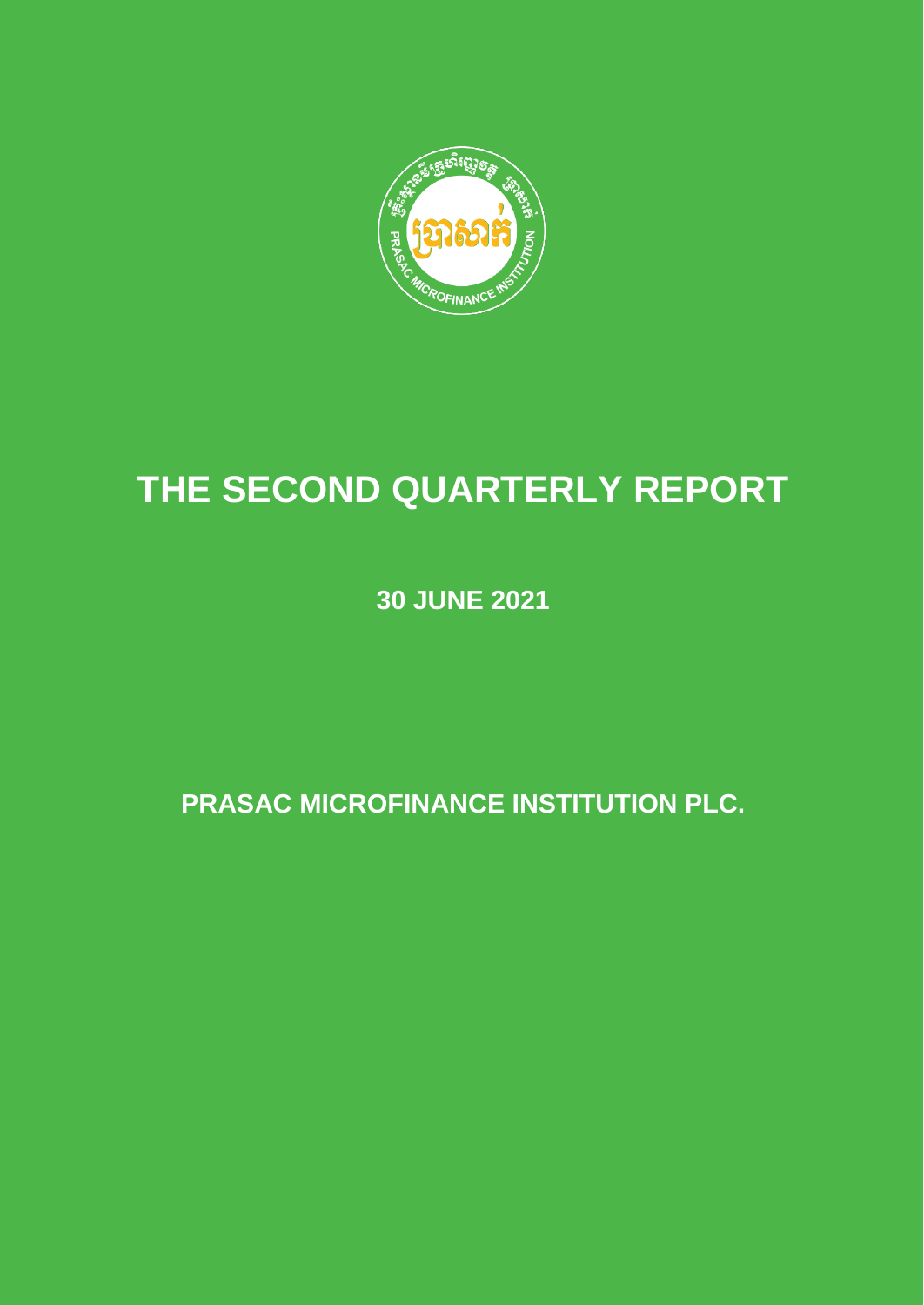

# **THE SECOND QUARTERLY REPORT**

**30 JUNE 2021**

**PRASAC MICROFINANCE INSTITUTION PLC.**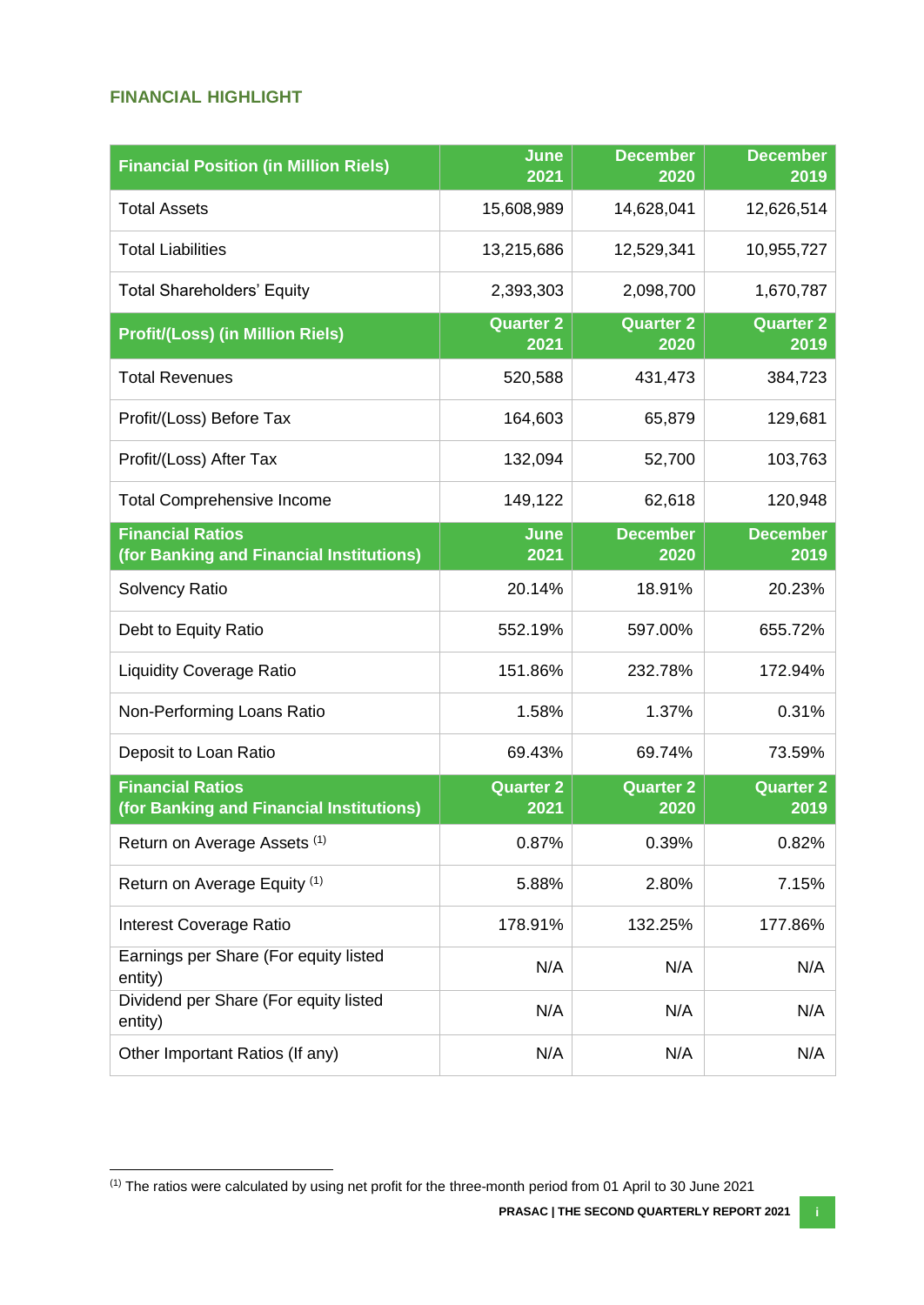## <span id="page-1-0"></span>**FINANCIAL HIGHLIGHT**

 $\overline{\phantom{a}}$ 

| <b>Financial Position (in Million Riels)</b>                        | <b>June</b><br>2021      | <b>December</b><br>2020  | <b>December</b><br>2019  |
|---------------------------------------------------------------------|--------------------------|--------------------------|--------------------------|
| <b>Total Assets</b>                                                 | 15,608,989               | 14,628,041               | 12,626,514               |
| <b>Total Liabilities</b>                                            | 13,215,686               | 12,529,341               | 10,955,727               |
| <b>Total Shareholders' Equity</b>                                   | 2,393,303                | 2,098,700                | 1,670,787                |
| <b>Profit/(Loss) (in Million Riels)</b>                             | <b>Quarter 2</b><br>2021 | <b>Quarter 2</b><br>2020 | <b>Quarter 2</b><br>2019 |
| <b>Total Revenues</b>                                               | 520,588                  | 431,473                  | 384,723                  |
| Profit/(Loss) Before Tax                                            | 164,603                  | 65,879                   | 129,681                  |
| Profit/(Loss) After Tax                                             | 132,094                  | 52,700                   | 103,763                  |
| <b>Total Comprehensive Income</b>                                   | 149,122                  | 62,618                   | 120,948                  |
| <b>Financial Ratios</b><br>(for Banking and Financial Institutions) | June<br>2021             | <b>December</b><br>2020  | <b>December</b><br>2019  |
| <b>Solvency Ratio</b>                                               | 20.14%                   | 18.91%                   | 20.23%                   |
| Debt to Equity Ratio                                                | 552.19%                  | 597.00%                  | 655.72%                  |
| <b>Liquidity Coverage Ratio</b>                                     | 151.86%                  | 232.78%                  | 172.94%                  |
| Non-Performing Loans Ratio                                          | 1.58%                    | 1.37%                    | 0.31%                    |
| Deposit to Loan Ratio                                               | 69.43%                   | 69.74%                   | 73.59%                   |
| <b>Financial Ratios</b><br>(for Banking and Financial Institutions) | <b>Quarter 2</b><br>2021 | <b>Quarter 2</b><br>2020 | <b>Quarter 2</b><br>2019 |
| Return on Average Assets (1)                                        | 0.87%                    | 0.39%                    | 0.82%                    |
| Return on Average Equity (1)                                        | 5.88%                    | 2.80%                    | 7.15%                    |
| Interest Coverage Ratio                                             | 178.91%                  | 132.25%                  | 177.86%                  |
| Earnings per Share (For equity listed<br>entity)                    | N/A                      | N/A                      | N/A                      |
| Dividend per Share (For equity listed<br>entity)                    | N/A                      | N/A                      | N/A                      |
| Other Important Ratios (If any)                                     | N/A                      | N/A                      | N/A                      |

 $(1)$  The ratios were calculated by using net profit for the three-month period from 01 April to 30 June 2021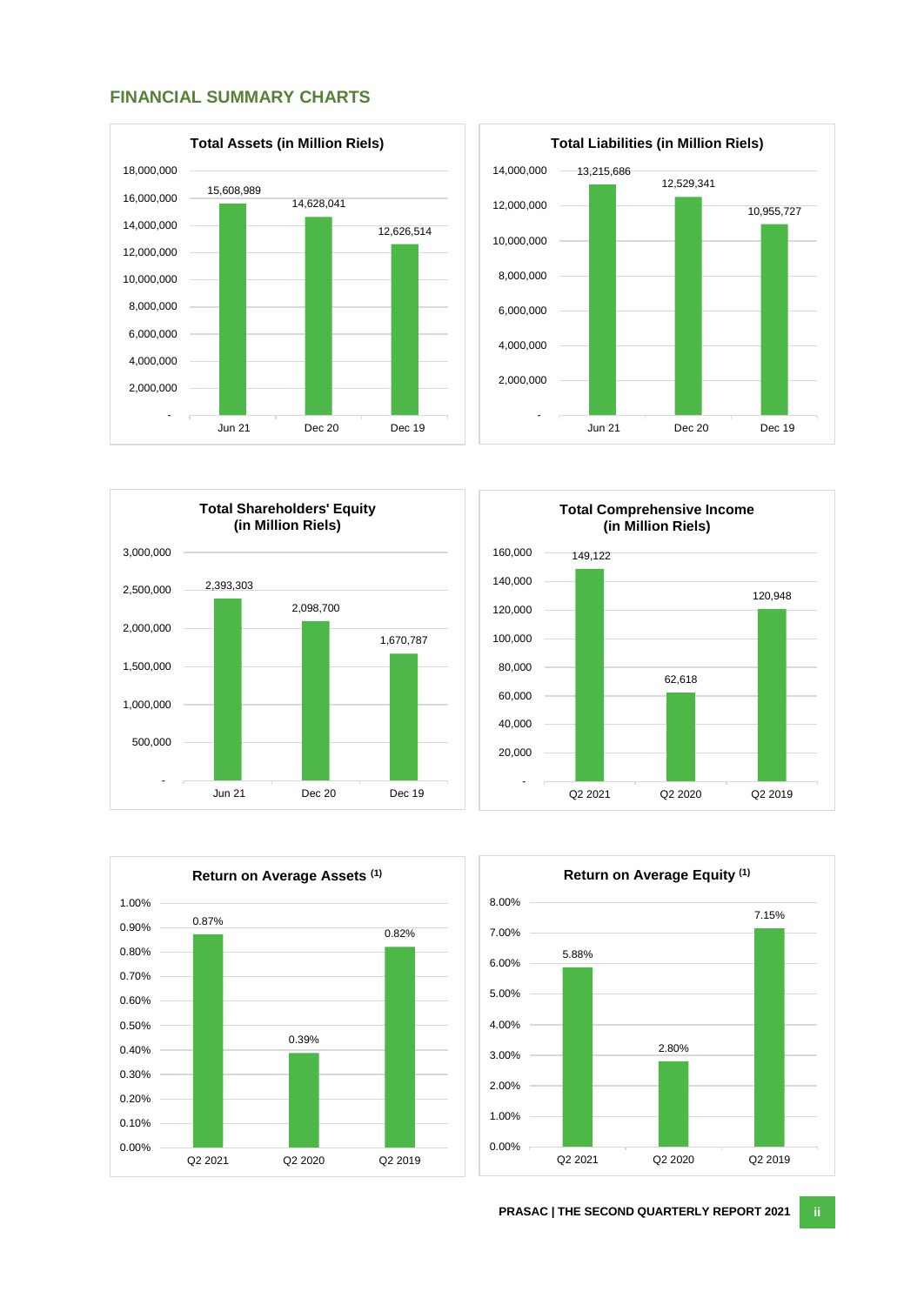#### <span id="page-2-0"></span>**FINANCIAL SUMMARY CHARTS**









<span id="page-2-1"></span>

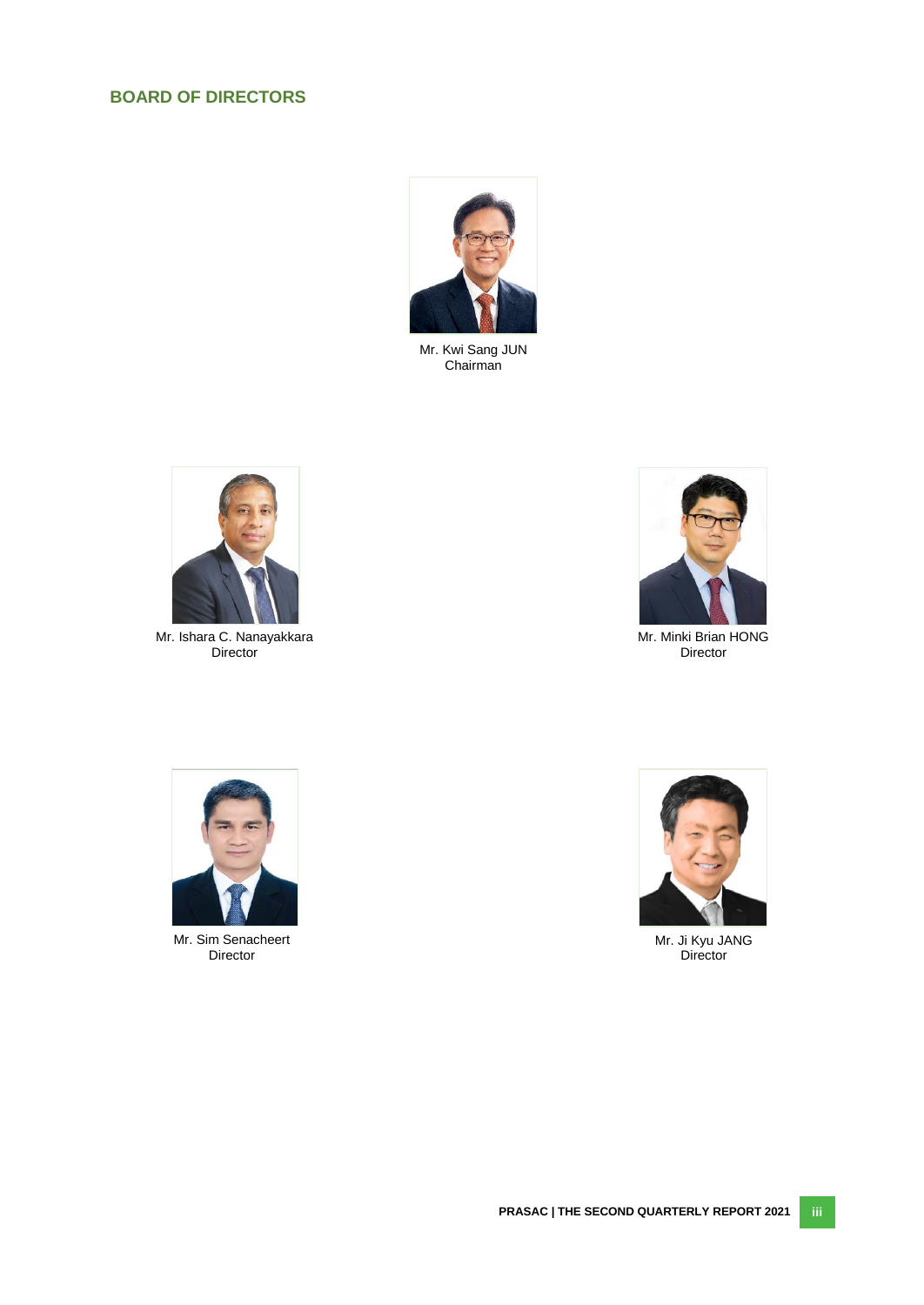# **BOARD OF DIRECTORS**



Mr. Kwi Sang JUN Chairman



Mr. Ishara C. Nanayakkara Director



Mr. Minki Brian HONG Director



Mr. Sim Senacheert Director



Mr. Ji Kyu JANG **Director**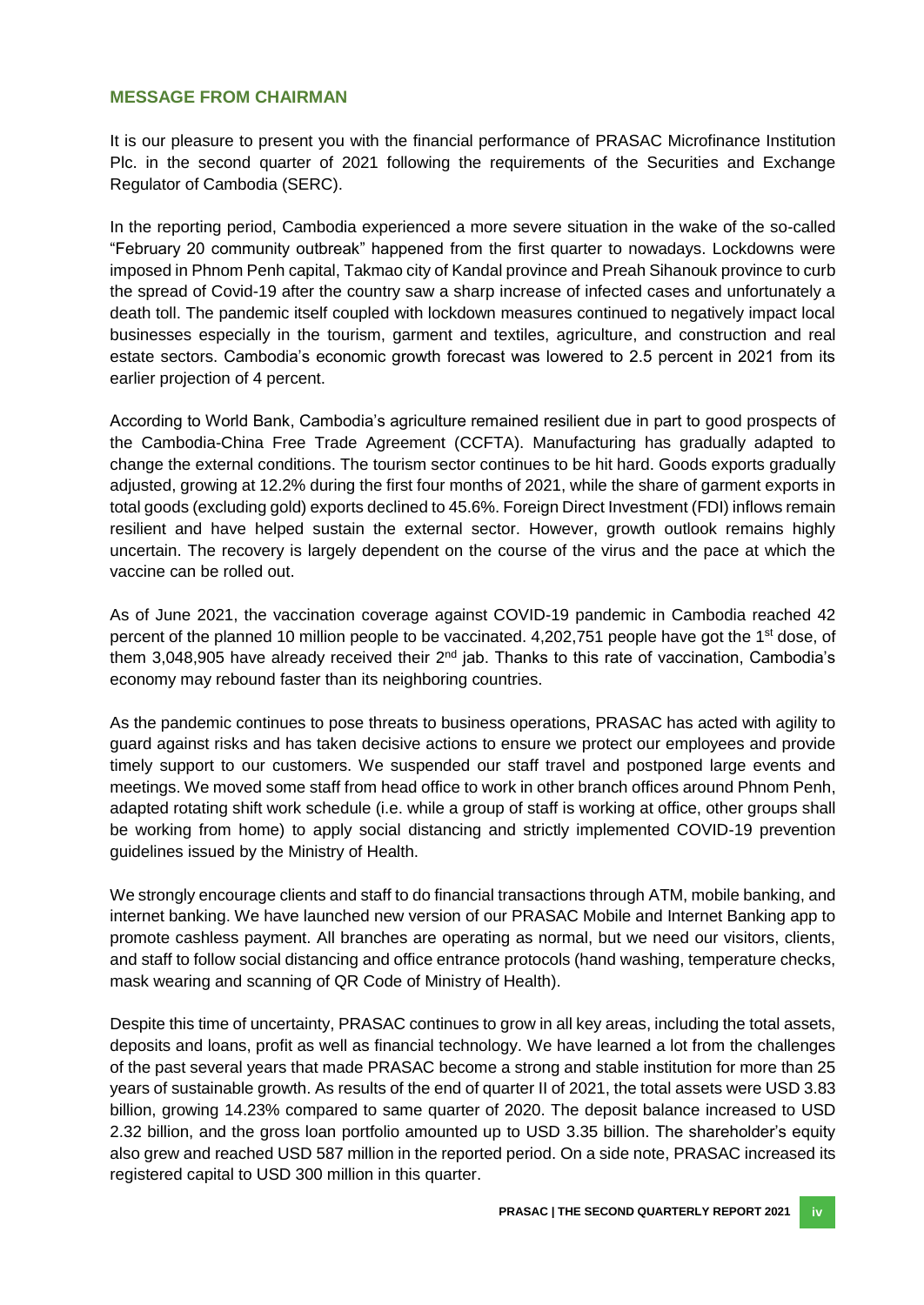#### <span id="page-4-0"></span>**MESSAGE FROM CHAIRMAN**

It is our pleasure to present you with the financial performance of PRASAC Microfinance Institution Plc. in the second quarter of 2021 following the requirements of the Securities and Exchange Regulator of Cambodia (SERC).

In the reporting period, Cambodia experienced a more severe situation in the wake of the so-called "February 20 community outbreak" happened from the first quarter to nowadays. Lockdowns were imposed in Phnom Penh capital, Takmao city of Kandal province and Preah Sihanouk province to curb the spread of Covid-19 after the country saw a sharp increase of infected cases and unfortunately a death toll. The pandemic itself coupled with lockdown measures continued to negatively impact local businesses especially in the tourism, garment and textiles, agriculture, and construction and real estate sectors. Cambodia's economic growth forecast was lowered to 2.5 percent in 2021 from its earlier projection of 4 percent.

According to World Bank, Cambodia's agriculture remained resilient due in part to good prospects of the Cambodia-China Free Trade Agreement (CCFTA). Manufacturing has gradually adapted to change the external conditions. The tourism sector continues to be hit hard. Goods exports gradually adjusted, growing at 12.2% during the first four months of 2021, while the share of garment exports in total goods (excluding gold) exports declined to 45.6%. Foreign Direct Investment (FDI) inflows remain resilient and have helped sustain the external sector. However, growth outlook remains highly uncertain. The recovery is largely dependent on the course of the virus and the pace at which the vaccine can be rolled out.

As of June 2021, the vaccination coverage against COVID-19 pandemic in Cambodia reached 42 percent of the planned 10 million people to be vaccinated. 4,202,751 people have got the 1<sup>st</sup> dose, of them 3,048,905 have already received their  $2<sup>nd</sup>$  jab. Thanks to this rate of vaccination, Cambodia's economy may rebound faster than its neighboring countries.

As the pandemic continues to pose threats to business operations, PRASAC has acted with agility to guard against risks and has taken decisive actions to ensure we protect our employees and provide timely support to our customers. We suspended our staff travel and postponed large events and meetings. We moved some staff from head office to work in other branch offices around Phnom Penh, adapted rotating shift work schedule (i.e. while a group of staff is working at office, other groups shall be working from home) to apply social distancing and strictly implemented COVID-19 prevention guidelines issued by the Ministry of Health.

We strongly encourage clients and staff to do financial transactions through ATM, mobile banking, and internet banking. We have launched new version of our PRASAC Mobile and Internet Banking app to promote cashless payment. All branches are operating as normal, but we need our visitors, clients, and staff to follow social distancing and office entrance protocols (hand washing, temperature checks, mask wearing and scanning of QR Code of Ministry of Health).

Despite this time of uncertainty, PRASAC continues to grow in all key areas, including the total assets, deposits and loans, profit as well as financial technology. We have learned a lot from the challenges of the past several years that made PRASAC become a strong and stable institution for more than 25 years of sustainable growth. As results of the end of quarter II of 2021, the total assets were USD 3.83 billion, growing 14.23% compared to same quarter of 2020. The deposit balance increased to USD 2.32 billion, and the gross loan portfolio amounted up to USD 3.35 billion. The shareholder's equity also grew and reached USD 587 million in the reported period. On a side note, PRASAC increased its registered capital to USD 300 million in this quarter.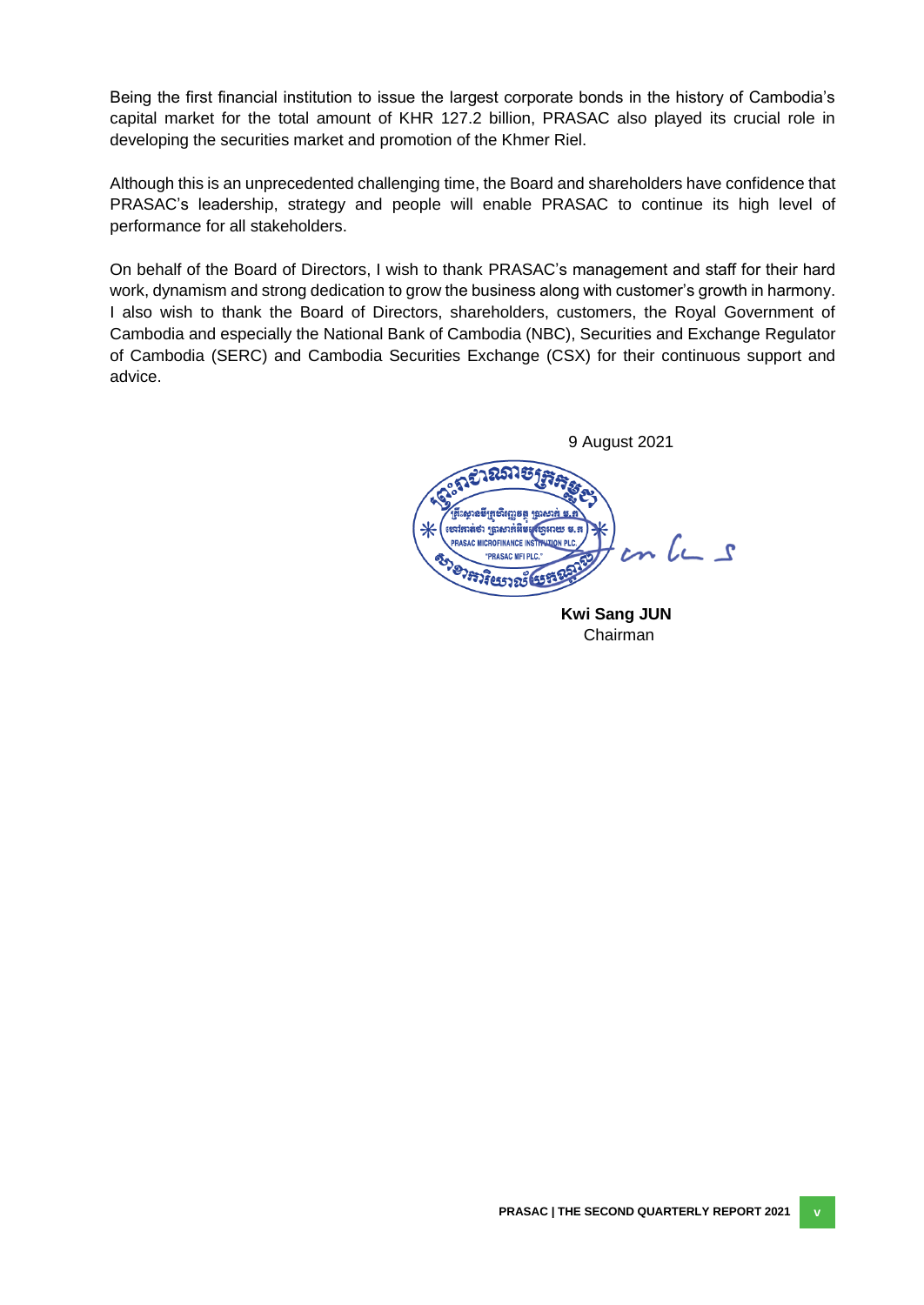Being the first financial institution to issue the largest corporate bonds in the history of Cambodia's capital market for the total amount of KHR 127.2 billion, PRASAC also played its crucial role in developing the securities market and promotion of the Khmer Riel.

Although this is an unprecedented challenging time, the Board and shareholders have confidence that PRASAC's leadership, strategy and people will enable PRASAC to continue its high level of performance for all stakeholders.

On behalf of the Board of Directors, I wish to thank PRASAC's management and staff for their hard work, dynamism and strong dedication to grow the business along with customer's growth in harmony. I also wish to thank the Board of Directors, shareholders, customers, the Royal Government of Cambodia and especially the National Bank of Cambodia (NBC), Securities and Exchange Regulator of Cambodia (SERC) and Cambodia Securities Exchange (CSX) for their continuous support and advice.

 9 August 2021 2915 ក្រសឹរញ្ញនត្ត ក្រុ (បារ៉ុកាត់ថា ប្រាសាក់អឹមម  $cn$  le s **PRASAC MICROFINANCE INSTITU "PRASAC MELPLC.** BOY 2757 3 CEST 25 ESTE

**Kwi Sang JUN** Chairman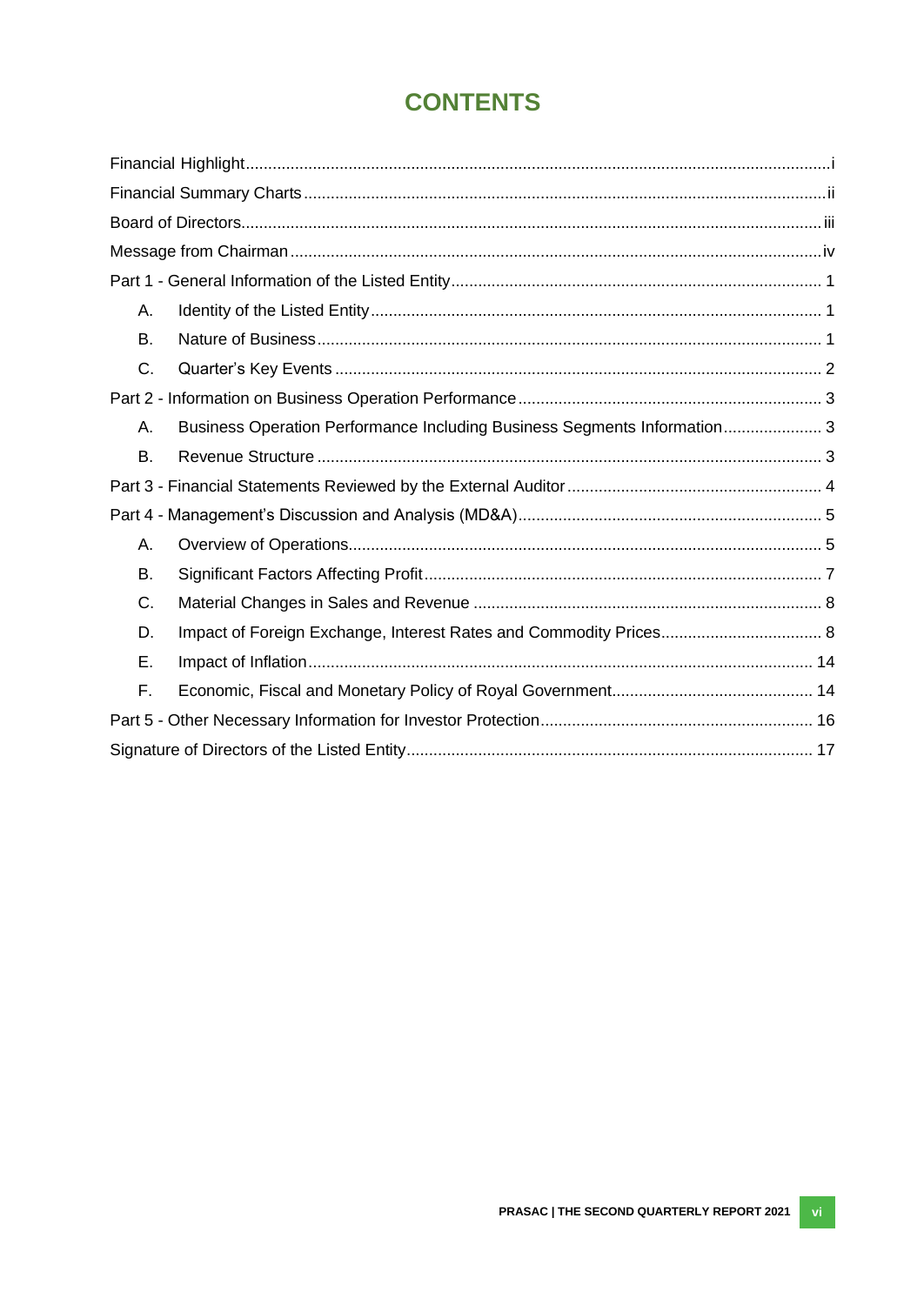# **CONTENTS**

| Α.        |                                                                          |  |
|-----------|--------------------------------------------------------------------------|--|
| <b>B.</b> |                                                                          |  |
| C.        |                                                                          |  |
|           |                                                                          |  |
| Α.        | Business Operation Performance Including Business Segments Information 3 |  |
| <b>B.</b> |                                                                          |  |
|           |                                                                          |  |
|           |                                                                          |  |
| А.        |                                                                          |  |
| B.        |                                                                          |  |
| C.        |                                                                          |  |
| D.        |                                                                          |  |
| Ε.        |                                                                          |  |
| F.        |                                                                          |  |
|           |                                                                          |  |
|           |                                                                          |  |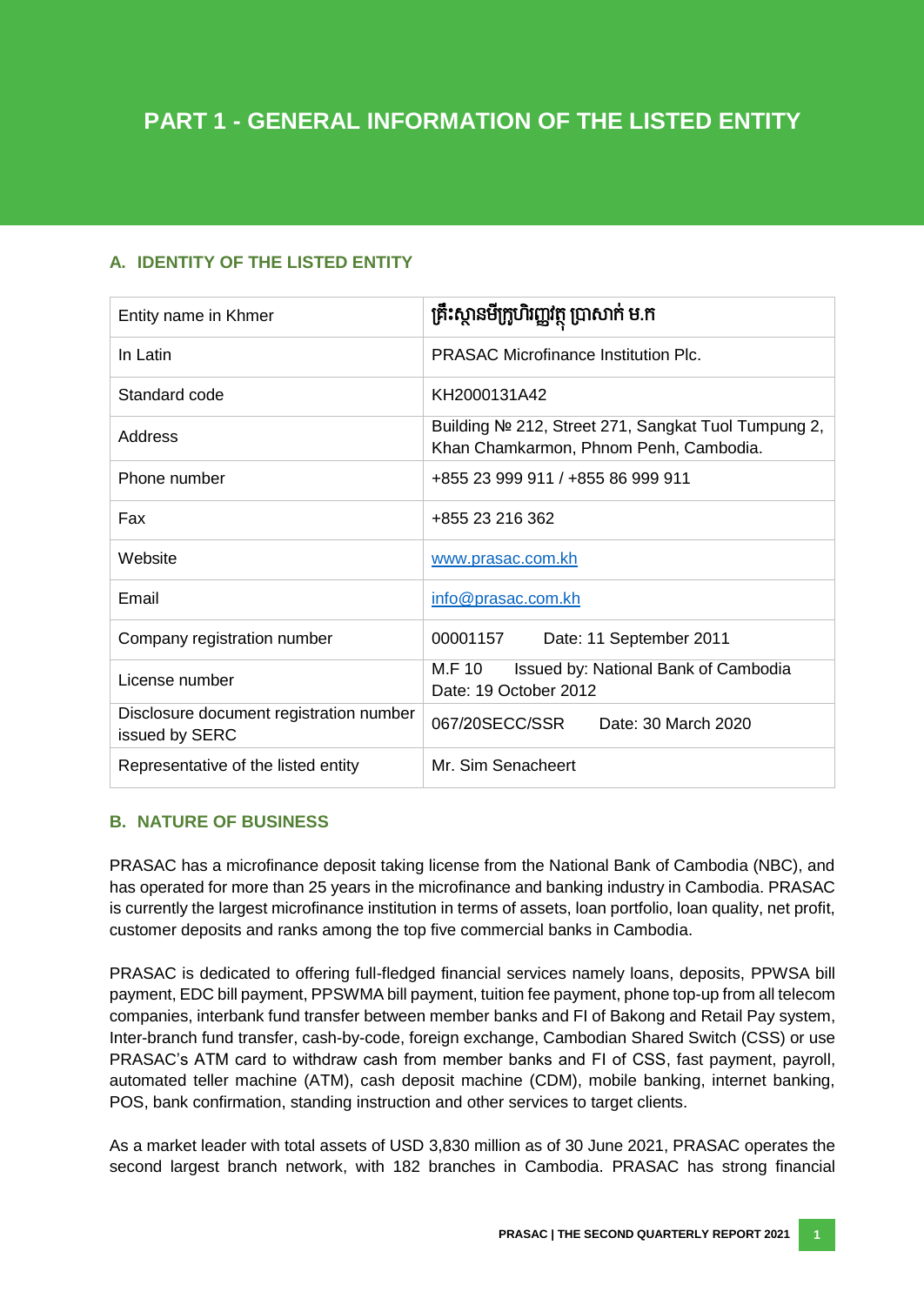# <span id="page-7-0"></span>**A. IDENTITY OF THE LISTED ENTITY**

| Entity name in Khmer                                      | គ្រឹះស្ថានមីក្រូហិរញ្ញវត្ថុ ប្រាសាក់ ម.ក                                                      |  |  |  |
|-----------------------------------------------------------|-----------------------------------------------------------------------------------------------|--|--|--|
| In Latin                                                  | <b>PRASAC Microfinance Institution Plc.</b>                                                   |  |  |  |
| Standard code                                             | KH2000131A42                                                                                  |  |  |  |
| Address                                                   | Building № 212, Street 271, Sangkat Tuol Tumpung 2,<br>Khan Chamkarmon, Phnom Penh, Cambodia. |  |  |  |
| Phone number                                              | +855 23 999 911 / +855 86 999 911                                                             |  |  |  |
| Fax                                                       | +855 23 216 362                                                                               |  |  |  |
| Website                                                   | www.prasac.com.kh                                                                             |  |  |  |
| Email                                                     | info@prasac.com.kh                                                                            |  |  |  |
| Company registration number                               | 00001157<br>Date: 11 September 2011                                                           |  |  |  |
| License number                                            | M.F 10<br>Issued by: National Bank of Cambodia<br>Date: 19 October 2012                       |  |  |  |
| Disclosure document registration number<br>issued by SERC | 067/20SECC/SSR<br>Date: 30 March 2020                                                         |  |  |  |
| Representative of the listed entity                       | Mr. Sim Senacheert                                                                            |  |  |  |

# <span id="page-7-1"></span>**B. NATURE OF BUSINESS**

PRASAC has a microfinance deposit taking license from the National Bank of Cambodia (NBC), and has operated for more than 25 years in the microfinance and banking industry in Cambodia. PRASAC is currently the largest microfinance institution in terms of assets, loan portfolio, loan quality, net profit, customer deposits and ranks among the top five commercial banks in Cambodia.

PRASAC is dedicated to offering full-fledged financial services namely loans, deposits, PPWSA bill payment, EDC bill payment, PPSWMA bill payment, tuition fee payment, phone top-up from all telecom companies, interbank fund transfer between member banks and FI of Bakong and Retail Pay system, Inter-branch fund transfer, cash-by-code, foreign exchange, Cambodian Shared Switch (CSS) or use PRASAC's ATM card to withdraw cash from member banks and FI of CSS, fast payment, payroll, automated teller machine (ATM), cash deposit machine (CDM), mobile banking, internet banking, POS, bank confirmation, standing instruction and other services to target clients.

As a market leader with total assets of USD 3,830 million as of 30 June 2021, PRASAC operates the second largest branch network, with 182 branches in Cambodia. PRASAC has strong financial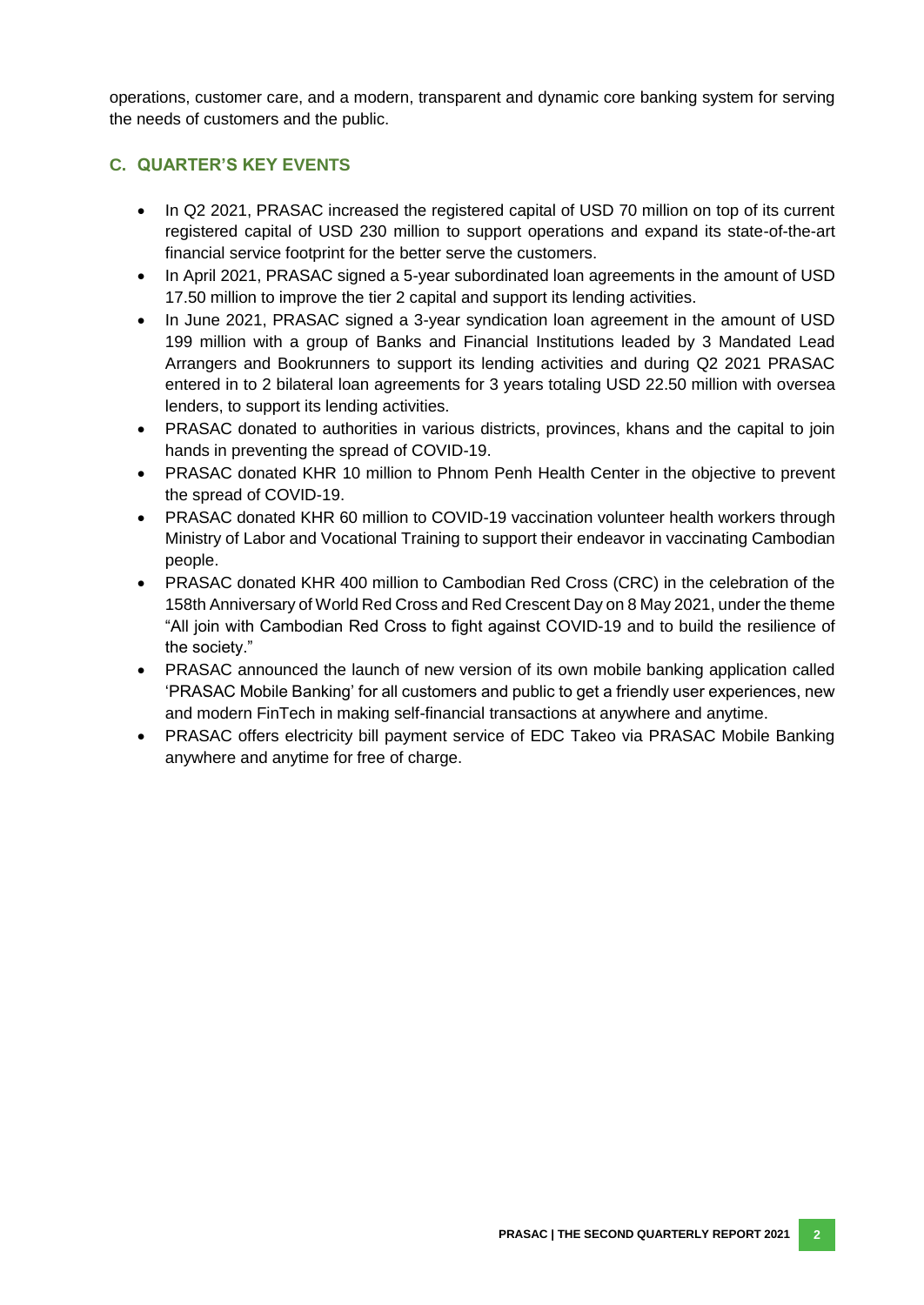operations, customer care, and a modern, transparent and dynamic core banking system for serving the needs of customers and the public.

# <span id="page-8-0"></span>**C. QUARTER'S KEY EVENTS**

- In Q2 2021, PRASAC increased the registered capital of USD 70 million on top of its current registered capital of USD 230 million to support operations and expand its state-of-the-art financial service footprint for the better serve the customers.
- In April 2021, PRASAC signed a 5-year subordinated loan agreements in the amount of USD 17.50 million to improve the tier 2 capital and support its lending activities.
- In June 2021, PRASAC signed a 3-year syndication loan agreement in the amount of USD 199 million with a group of Banks and Financial Institutions leaded by 3 Mandated Lead Arrangers and Bookrunners to support its lending activities and during Q2 2021 PRASAC entered in to 2 bilateral loan agreements for 3 years totaling USD 22.50 million with oversea lenders, to support its lending activities.
- PRASAC donated to authorities in various districts, provinces, khans and the capital to join hands in preventing the spread of COVID-19.
- PRASAC donated KHR 10 million to Phnom Penh Health Center in the objective to prevent the spread of COVID-19.
- PRASAC donated KHR 60 million to COVID-19 vaccination volunteer health workers through Ministry of Labor and Vocational Training to support their endeavor in vaccinating Cambodian people.
- PRASAC donated KHR 400 million to Cambodian Red Cross (CRC) in the celebration of the 158th Anniversary of World Red Cross and Red Crescent Day on 8 May 2021, under the theme "All join with Cambodian Red Cross to fight against COVID-19 and to build the resilience of the society."
- PRASAC announced the launch of new version of its own mobile banking application called 'PRASAC Mobile Banking' for all customers and public to get a friendly user experiences, new and modern FinTech in making self-financial transactions at anywhere and anytime.
- PRASAC offers electricity bill payment service of EDC Takeo via PRASAC Mobile Banking anywhere and anytime for free of charge.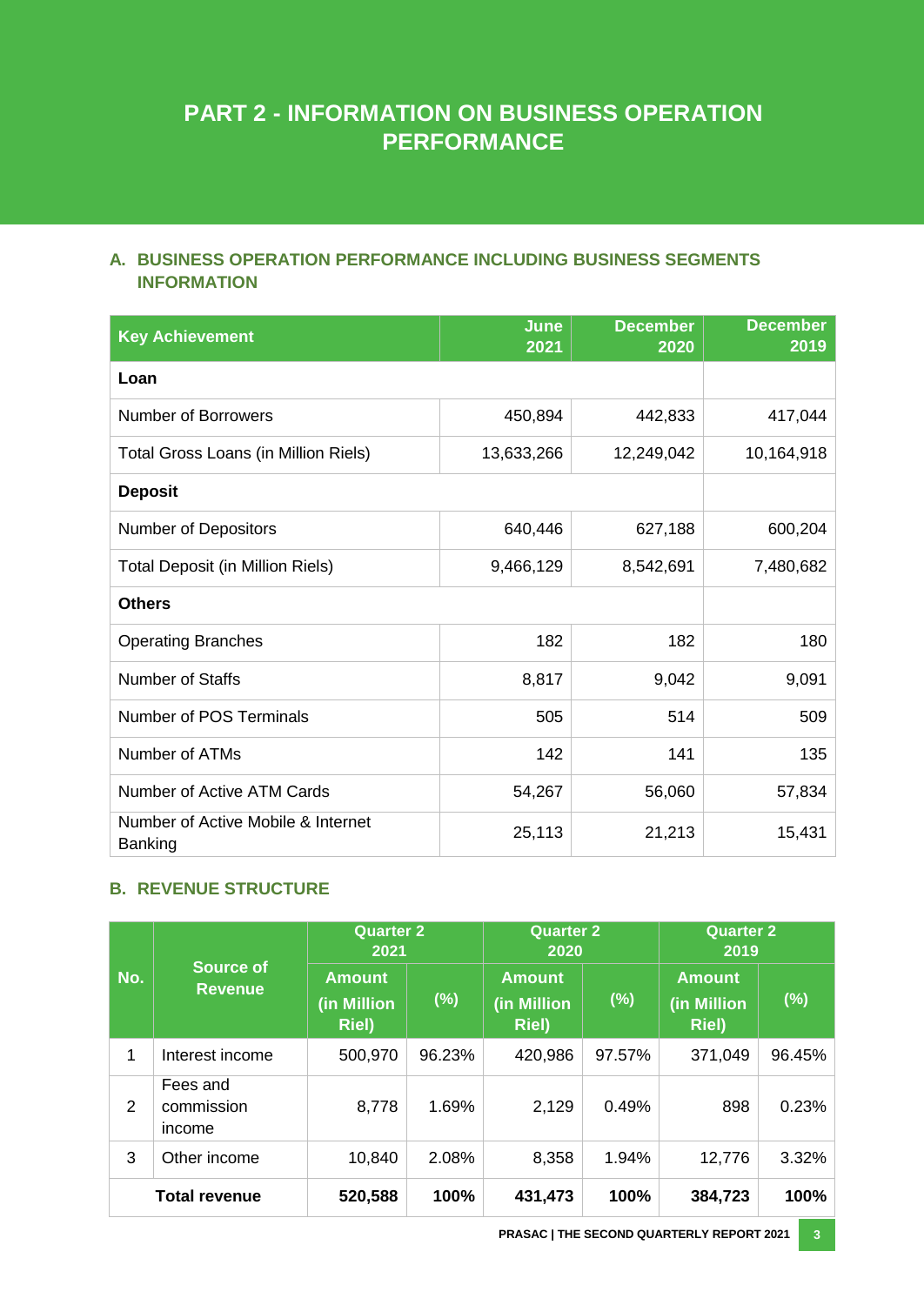# **PART 2 - INFORMATION ON BUSINESS OPERATION PERFORMANCE**

# <span id="page-9-0"></span>**A. BUSINESS OPERATION PERFORMANCE INCLUDING BUSINESS SEGMENTS INFORMATION**

| <b>Key Achievement</b>                        | June<br>2021 | <b>December</b><br>2020 | <b>December</b><br>2019 |
|-----------------------------------------------|--------------|-------------------------|-------------------------|
| Loan                                          |              |                         |                         |
| <b>Number of Borrowers</b>                    | 450,894      | 442,833                 | 417,044                 |
| Total Gross Loans (in Million Riels)          | 13,633,266   | 12,249,042              | 10,164,918              |
| <b>Deposit</b>                                |              |                         |                         |
| <b>Number of Depositors</b>                   | 640,446      | 627,188                 | 600,204                 |
| <b>Total Deposit (in Million Riels)</b>       | 9,466,129    | 8,542,691               | 7,480,682               |
| <b>Others</b>                                 |              |                         |                         |
| <b>Operating Branches</b>                     | 182          | 182                     | 180                     |
| <b>Number of Staffs</b>                       | 8,817        | 9,042                   | 9,091                   |
| Number of POS Terminals                       | 505          | 514                     | 509                     |
| Number of ATMs                                | 142          | 141                     | 135                     |
| Number of Active ATM Cards                    | 54,267       | 56,060                  | 57,834                  |
| Number of Active Mobile & Internet<br>Banking | 25,113       | 21,213                  | 15,431                  |

# <span id="page-9-1"></span>**B. REVENUE STRUCTURE**

|     |                                    | <b>Quarter 2</b><br>2021              |        | <b>Quarter 2</b><br>2020                      |        | <b>Quarter 2</b><br>2019                      |        |
|-----|------------------------------------|---------------------------------------|--------|-----------------------------------------------|--------|-----------------------------------------------|--------|
| No. | <b>Source of</b><br><b>Revenue</b> | <b>Amount</b><br>(in Million<br>Riel) | $(\%)$ | <b>Amount</b><br>(in Million<br><b>Riel</b> ) | (%)    | <b>Amount</b><br>(in Million<br><b>Riel</b> ) | (%)    |
| 1   | Interest income                    | 500,970                               | 96.23% | 420,986                                       | 97.57% | 371,049                                       | 96.45% |
| 2   | Fees and<br>commission<br>income   | 8,778                                 | 1.69%  | 2,129                                         | 0.49%  | 898                                           | 0.23%  |
| 3   | Other income                       | 10,840                                | 2.08%  | 8,358                                         | 1.94%  | 12,776                                        | 3.32%  |
|     | <b>Total revenue</b>               | 520,588                               | 100%   | 431,473                                       | 100%   | 384,723                                       | 100%   |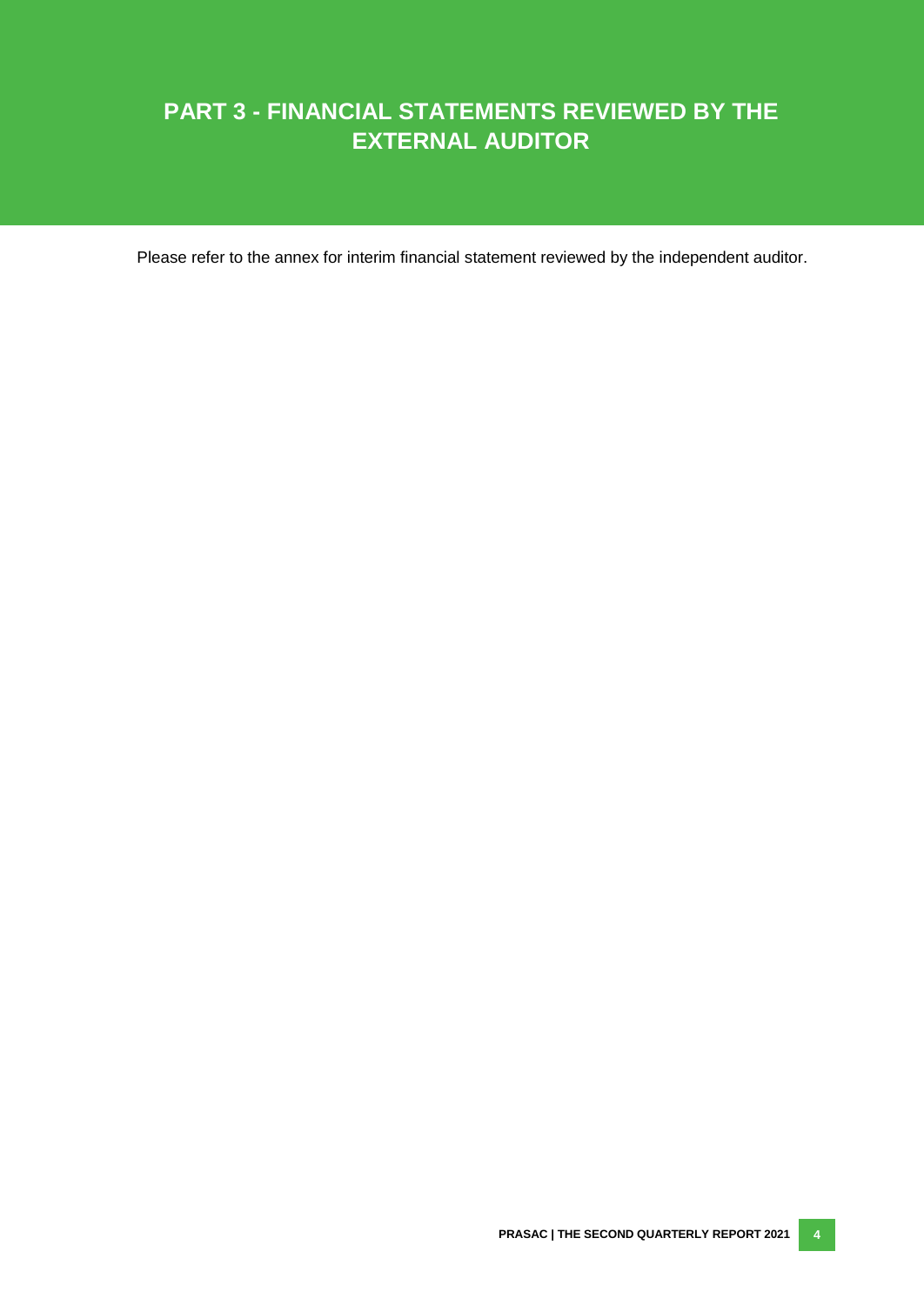# **PART 3 - FINANCIAL STATEMENTS REVIEWED BY THE EXTERNAL AUDITOR**

Please refer to the annex for interim financial statement reviewed by the independent auditor.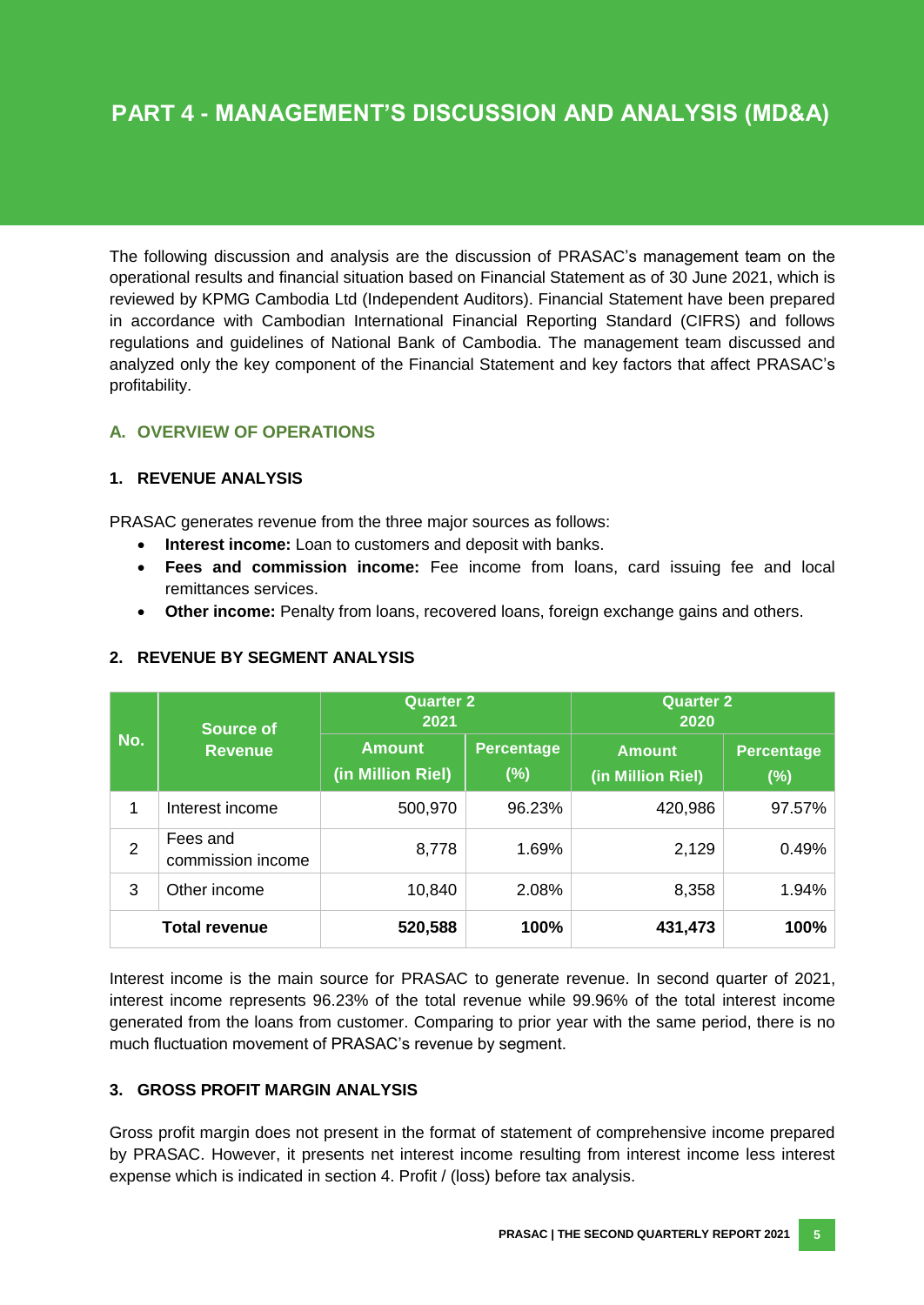The following discussion and analysis are the discussion of PRASAC's management team on the operational results and financial situation based on Financial Statement as of 30 June 2021, which is reviewed by KPMG Cambodia Ltd (Independent Auditors). Financial Statement have been prepared in accordance with Cambodian International Financial Reporting Standard (CIFRS) and follows regulations and guidelines of National Bank of Cambodia. The management team discussed and analyzed only the key component of the Financial Statement and key factors that affect PRASAC's profitability.

# <span id="page-11-0"></span>**A. OVERVIEW OF OPERATIONS**

## **1. REVENUE ANALYSIS**

PRASAC generates revenue from the three major sources as follows:

- **Interest income:** Loan to customers and deposit with banks.
- **Fees and commission income:** Fee income from loans, card issuing fee and local remittances services.
- **Other income:** Penalty from loans, recovered loans, foreign exchange gains and others.

|                      | <b>Source of</b>              | <b>Quarter 2</b><br>2021           |                             | <b>Quarter 2</b><br>2020           |                             |  |
|----------------------|-------------------------------|------------------------------------|-----------------------------|------------------------------------|-----------------------------|--|
| No.                  | <b>Revenue</b>                | <b>Amount</b><br>(in Million Riel) | <b>Percentage</b><br>$(\%)$ | <b>Amount</b><br>(in Million Riel) | <b>Percentage</b><br>$(\%)$ |  |
| 1                    | Interest income               | 500,970                            | 96.23%                      | 420,986                            | 97.57%                      |  |
| $\overline{2}$       | Fees and<br>commission income | 8,778                              | 1.69%                       | 2,129                              | 0.49%                       |  |
| 3                    | Other income                  | 10,840                             | 2.08%                       | 8,358                              | 1.94%                       |  |
| <b>Total revenue</b> |                               | 520,588                            | 100%                        | 431,473                            | 100%                        |  |

#### **2. REVENUE BY SEGMENT ANALYSIS**

Interest income is the main source for PRASAC to generate revenue. In second quarter of 2021, interest income represents 96.23% of the total revenue while 99.96% of the total interest income generated from the loans from customer. Comparing to prior year with the same period, there is no much fluctuation movement of PRASAC's revenue by segment.

#### **3. GROSS PROFIT MARGIN ANALYSIS**

Gross profit margin does not present in the format of statement of comprehensive income prepared by PRASAC. However, it presents net interest income resulting from interest income less interest expense which is indicated in section 4. Profit / (loss) before tax analysis.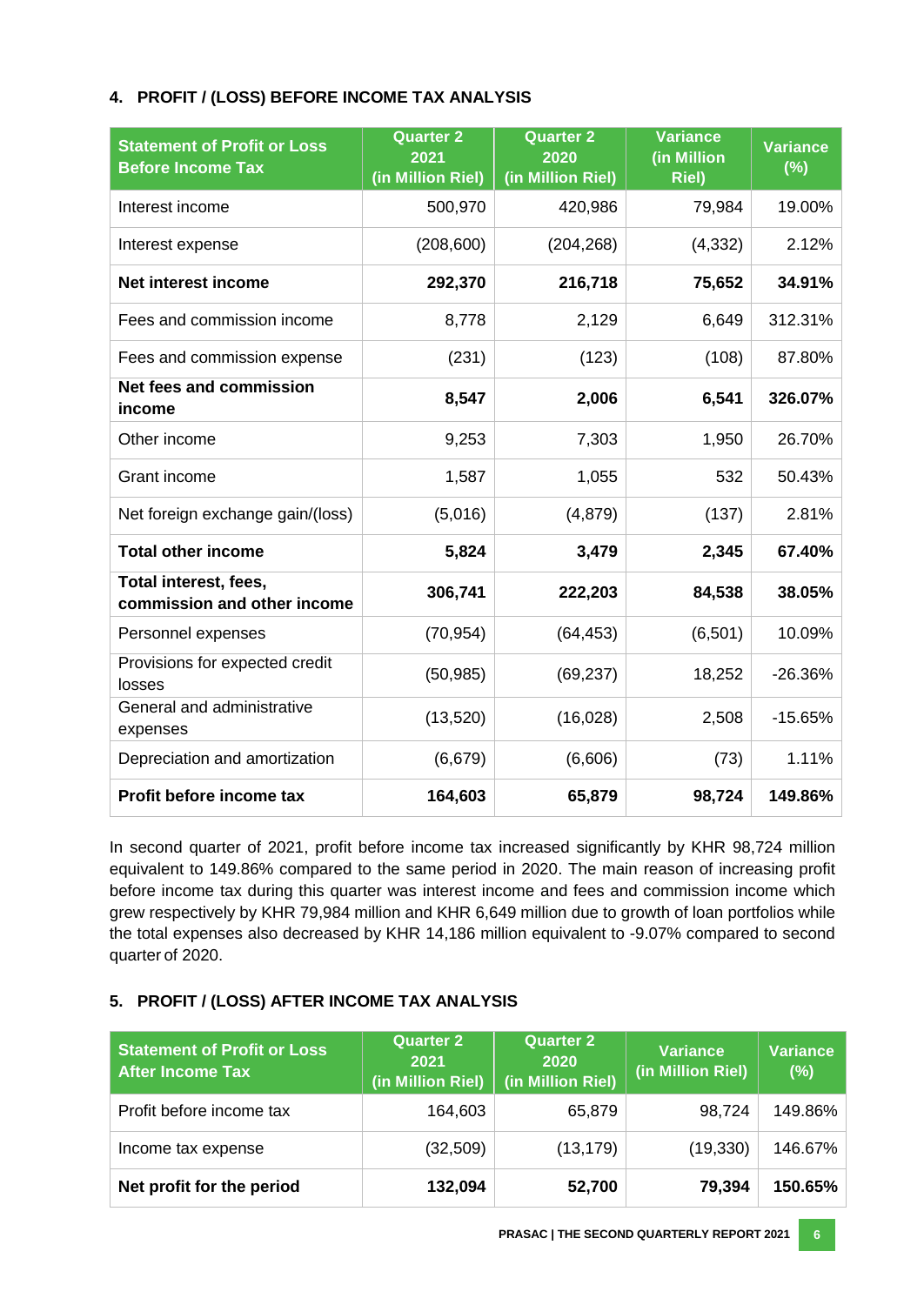## **4. PROFIT / (LOSS) BEFORE INCOME TAX ANALYSIS**

| <b>Statement of Profit or Loss</b><br><b>Before Income Tax</b> | <b>Quarter 2</b><br>2021<br>(in Million Riel) | <b>Quarter 2</b><br>2020<br>(in Million Riel) | <b>Variance</b><br>(in Million<br><b>Riel)</b> | <b>Variance</b><br>$\overline{(\%)}$ |
|----------------------------------------------------------------|-----------------------------------------------|-----------------------------------------------|------------------------------------------------|--------------------------------------|
| Interest income                                                | 500,970                                       | 420,986                                       | 79,984                                         | 19.00%                               |
| Interest expense                                               | (208, 600)                                    | (204, 268)                                    | (4, 332)                                       | 2.12%                                |
| <b>Net interest income</b>                                     | 292,370                                       | 216,718                                       | 75,652                                         | 34.91%                               |
| Fees and commission income                                     | 8,778                                         | 2,129                                         | 6,649                                          | 312.31%                              |
| Fees and commission expense                                    | (231)                                         | (123)                                         | (108)                                          | 87.80%                               |
| Net fees and commission<br>income                              | 8,547                                         | 2,006                                         | 6,541                                          | 326.07%                              |
| Other income                                                   | 9,253                                         | 7,303                                         | 1,950                                          | 26.70%                               |
| Grant income                                                   | 1,587                                         | 1,055                                         | 532                                            | 50.43%                               |
| Net foreign exchange gain/(loss)                               | (5,016)                                       | (4, 879)                                      | (137)                                          | 2.81%                                |
| <b>Total other income</b>                                      | 5,824                                         | 3,479                                         | 2,345                                          | 67.40%                               |
| Total interest, fees,<br>commission and other income           | 306,741                                       | 222,203                                       | 84,538                                         | 38.05%                               |
| Personnel expenses                                             | (70, 954)                                     | (64, 453)                                     | (6, 501)                                       | 10.09%                               |
| Provisions for expected credit<br>losses                       | (50, 985)                                     | (69, 237)                                     | 18,252                                         | $-26.36%$                            |
| General and administrative<br>expenses                         | (13,520)                                      | (16,028)                                      | 2,508                                          | $-15.65%$                            |
| Depreciation and amortization                                  | (6,679)                                       | (6,606)                                       | (73)                                           | 1.11%                                |
| Profit before income tax                                       | 164,603                                       | 65,879                                        | 98,724                                         | 149.86%                              |

In second quarter of 2021, profit before income tax increased significantly by KHR 98,724 million equivalent to 149.86% compared to the same period in 2020. The main reason of increasing profit before income tax during this quarter was interest income and fees and commission income which grew respectively by KHR 79,984 million and KHR 6,649 million due to growth of loan portfolios while the total expenses also decreased by KHR 14,186 million equivalent to -9.07% compared to second quarter of 2020.

#### **5. PROFIT / (LOSS) AFTER INCOME TAX ANALYSIS**

| <b>Statement of Profit or Loss</b><br><b>After Income Tax</b> | <b>Quarter 2</b><br>2021<br>(in Million Riel) | <b>Quarter 2</b><br>2020<br>(in Million Riel) | <b>Variance</b><br>(in Million Riel) | <b>Variance</b><br>(%) |
|---------------------------------------------------------------|-----------------------------------------------|-----------------------------------------------|--------------------------------------|------------------------|
| Profit before income tax                                      | 164,603                                       | 65,879                                        | 98,724                               | 149.86%                |
| Income tax expense                                            | (32, 509)                                     | (13, 179)                                     | (19, 330)                            | 146.67%                |
| Net profit for the period                                     | 132,094                                       | 52,700                                        | 79,394                               | 150.65%                |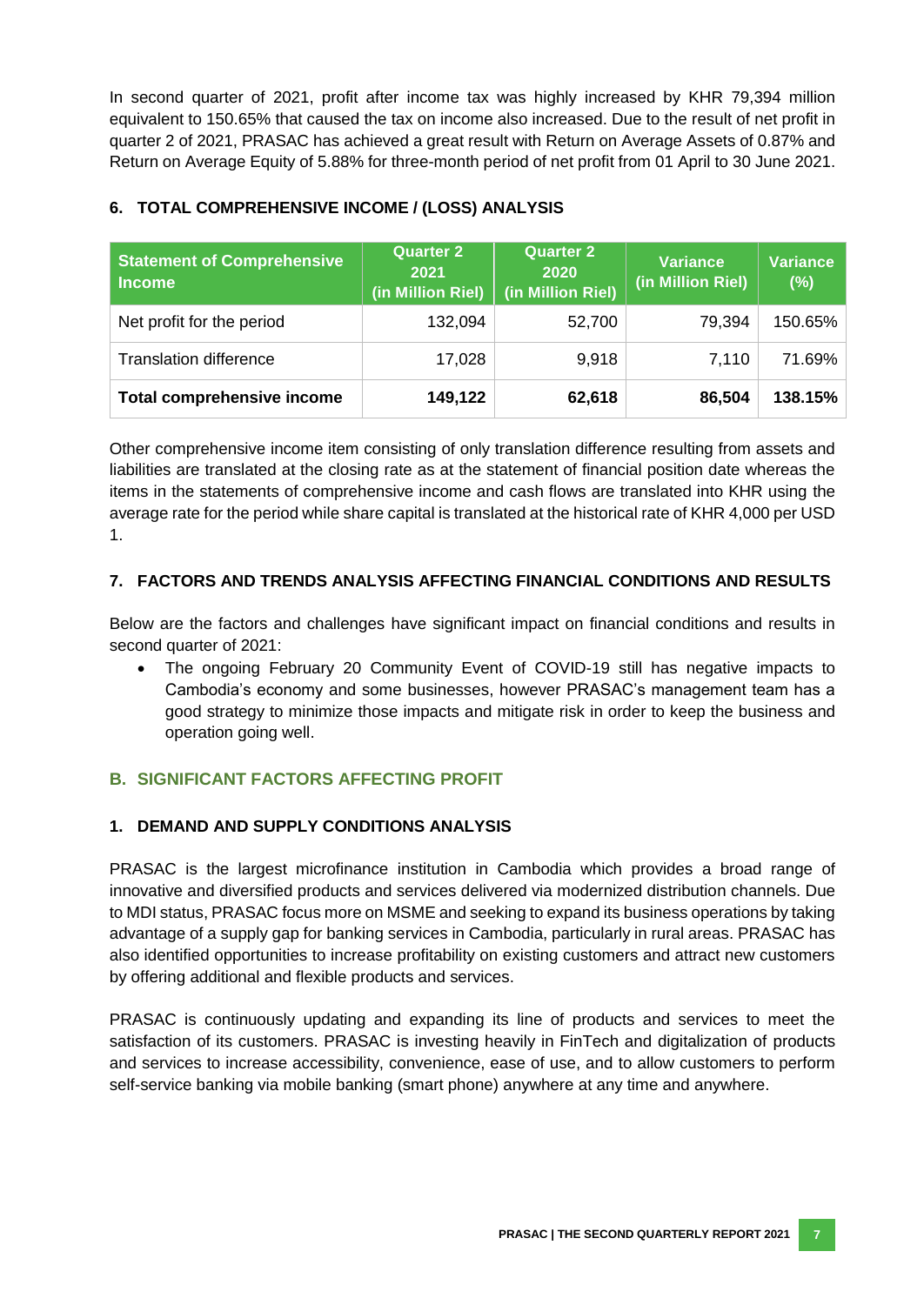In second quarter of 2021, profit after income tax was highly increased by KHR 79,394 million equivalent to 150.65% that caused the tax on income also increased. Due to the result of net profit in quarter 2 of 2021, PRASAC has achieved a great result with Return on Average Assets of 0.87% and Return on Average Equity of 5.88% for three-month period of net profit from 01 April to 30 June 2021.

| <b>Statement of Comprehensive</b><br><b>Income</b> | <b>Quarter 2</b><br>2021<br>(in Million Riel) | <b>Quarter 2</b><br>2020<br>(in Million Riel) | <b>Variance</b><br>(in Million Riel) | <b>Variance</b><br>(%) |
|----------------------------------------------------|-----------------------------------------------|-----------------------------------------------|--------------------------------------|------------------------|
| Net profit for the period                          | 132,094                                       | 52,700                                        | 79,394                               | 150.65%                |
| <b>Translation difference</b>                      | 17,028                                        | 9,918                                         | 7,110                                | 71.69%                 |
| <b>Total comprehensive income</b>                  | 149,122                                       | 62,618                                        | 86,504                               | 138.15%                |

# **6. TOTAL COMPREHENSIVE INCOME / (LOSS) ANALYSIS**

Other comprehensive income item consisting of only translation difference resulting from assets and liabilities are translated at the closing rate as at the statement of financial position date whereas the items in the statements of comprehensive income and cash flows are translated into KHR using the average rate for the period while share capital is translated at the historical rate of KHR 4,000 per USD 1.

## **7. FACTORS AND TRENDS ANALYSIS AFFECTING FINANCIAL CONDITIONS AND RESULTS**

Below are the factors and challenges have significant impact on financial conditions and results in second quarter of 2021:

 The ongoing February 20 Community Event of COVID-19 still has negative impacts to Cambodia's economy and some businesses, however PRASAC's management team has a good strategy to minimize those impacts and mitigate risk in order to keep the business and operation going well.

# <span id="page-13-0"></span>**B. SIGNIFICANT FACTORS AFFECTING PROFIT**

#### **1. DEMAND AND SUPPLY CONDITIONS ANALYSIS**

PRASAC is the largest microfinance institution in Cambodia which provides a broad range of innovative and diversified products and services delivered via modernized distribution channels. Due to MDI status, PRASAC focus more on MSME and seeking to expand its business operations by taking advantage of a supply gap for banking services in Cambodia, particularly in rural areas. PRASAC has also identified opportunities to increase profitability on existing customers and attract new customers by offering additional and flexible products and services.

PRASAC is continuously updating and expanding its line of products and services to meet the satisfaction of its customers. PRASAC is investing heavily in FinTech and digitalization of products and services to increase accessibility, convenience, ease of use, and to allow customers to perform self-service banking via mobile banking (smart phone) anywhere at any time and anywhere.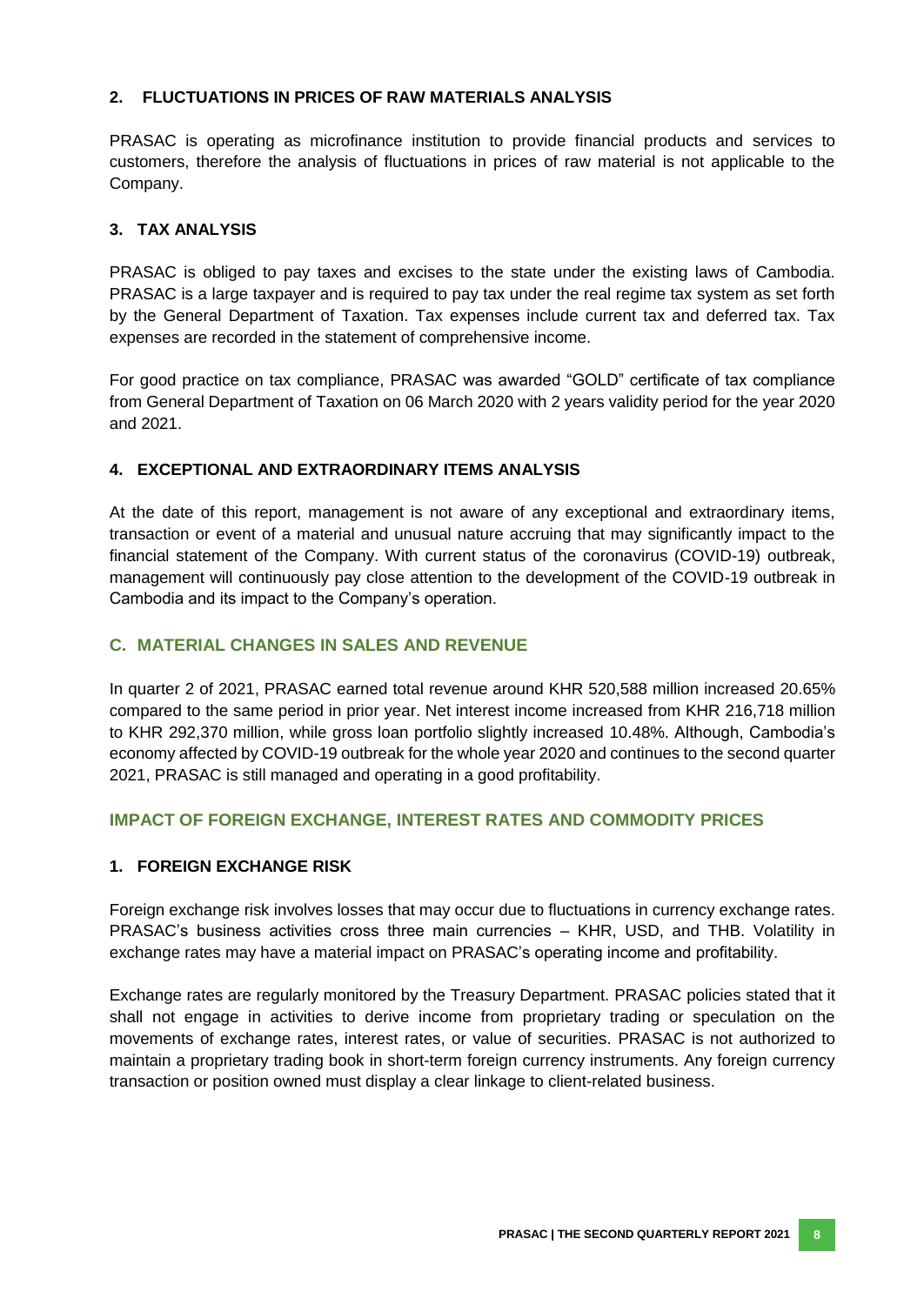#### **2. FLUCTUATIONS IN PRICES OF RAW MATERIALS ANALYSIS**

PRASAC is operating as microfinance institution to provide financial products and services to customers, therefore the analysis of fluctuations in prices of raw material is not applicable to the Company.

#### **3. TAX ANALYSIS**

PRASAC is obliged to pay taxes and excises to the state under the existing laws of Cambodia. PRASAC is a large taxpayer and is required to pay tax under the real regime tax system as set forth by the General Department of Taxation. Tax expenses include current tax and deferred tax. Tax expenses are recorded in the statement of comprehensive income.

For good practice on tax compliance, PRASAC was awarded "GOLD" certificate of tax compliance from General Department of Taxation on 06 March 2020 with 2 years validity period for the year 2020 and 2021.

#### **4. EXCEPTIONAL AND EXTRAORDINARY ITEMS ANALYSIS**

At the date of this report, management is not aware of any exceptional and extraordinary items, transaction or event of a material and unusual nature accruing that may significantly impact to the financial statement of the Company. With current status of the coronavirus (COVID-19) outbreak, management will continuously pay close attention to the development of the COVID-19 outbreak in Cambodia and its impact to the Company's operation.

## <span id="page-14-0"></span>**C. MATERIAL CHANGES IN SALES AND REVENUE**

<span id="page-14-1"></span>In quarter 2 of 2021, PRASAC earned total revenue around KHR 520,588 million increased 20.65% compared to the same period in prior year. Net interest income increased from KHR 216,718 million to KHR 292,370 million, while gross loan portfolio slightly increased 10.48%. Although, Cambodia's economy affected by COVID-19 outbreak for the whole year 2020 and continues to the second quarter 2021, PRASAC is still managed and operating in a good profitability.

#### **IMPACT OF FOREIGN EXCHANGE, INTEREST RATES AND COMMODITY PRICES**

#### **1. FOREIGN EXCHANGE RISK**

Foreign exchange risk involves losses that may occur due to fluctuations in currency exchange rates. PRASAC's business activities cross three main currencies – KHR, USD, and THB. Volatility in exchange rates may have a material impact on PRASAC's operating income and profitability.

Exchange rates are regularly monitored by the Treasury Department. PRASAC policies stated that it shall not engage in activities to derive income from proprietary trading or speculation on the movements of exchange rates, interest rates, or value of securities. PRASAC is not authorized to maintain a proprietary trading book in short-term foreign currency instruments. Any foreign currency transaction or position owned must display a clear linkage to client-related business.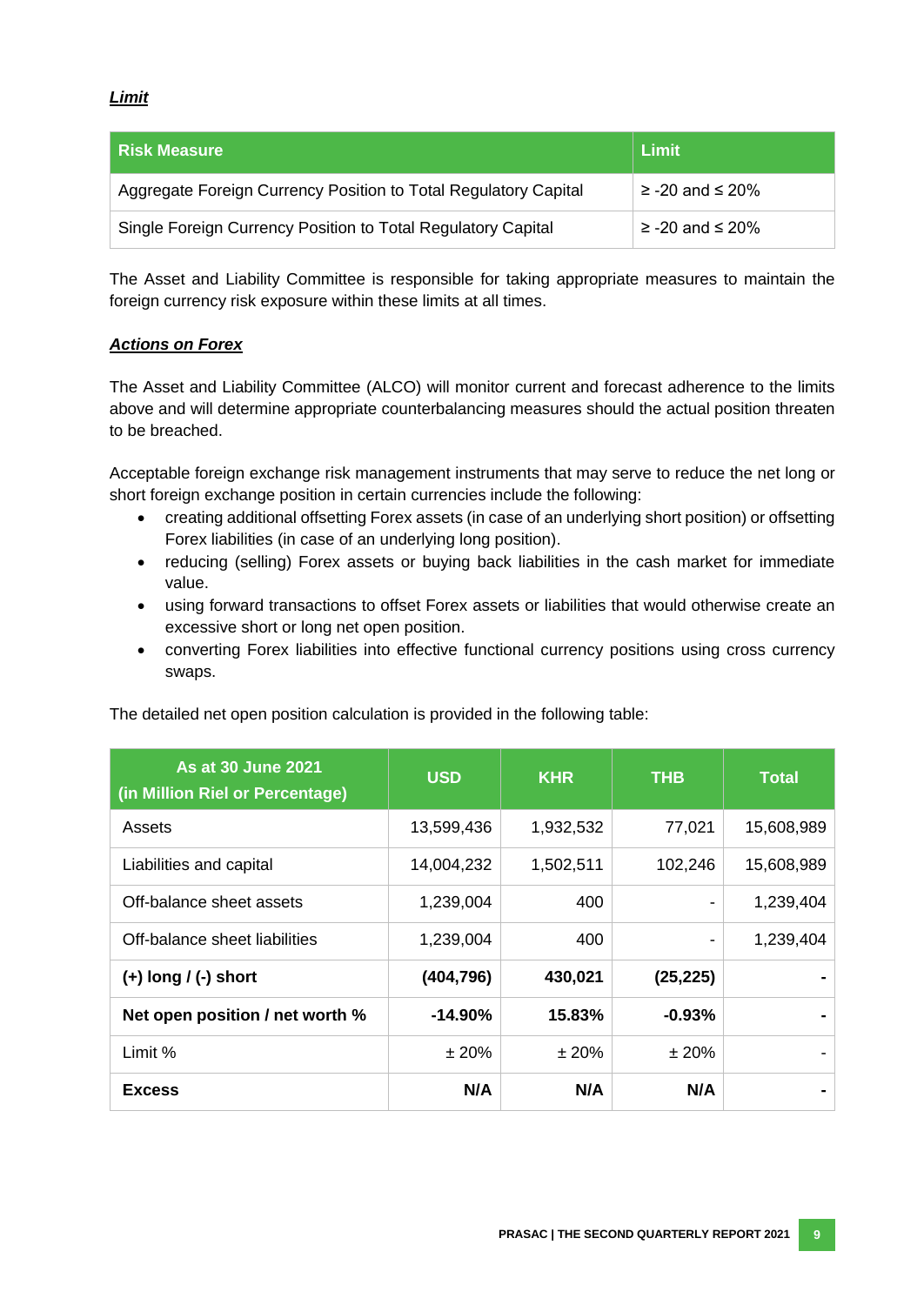#### *Limit*

| l Risk Measure                                                  | Limit                   |
|-----------------------------------------------------------------|-------------------------|
| Aggregate Foreign Currency Position to Total Regulatory Capital | $\ge$ -20 and $\le$ 20% |
| Single Foreign Currency Position to Total Regulatory Capital    | $\ge$ -20 and $\le$ 20% |

The Asset and Liability Committee is responsible for taking appropriate measures to maintain the foreign currency risk exposure within these limits at all times.

#### *Actions on Forex*

The Asset and Liability Committee (ALCO) will monitor current and forecast adherence to the limits above and will determine appropriate counterbalancing measures should the actual position threaten to be breached.

Acceptable foreign exchange risk management instruments that may serve to reduce the net long or short foreign exchange position in certain currencies include the following:

- creating additional offsetting Forex assets (in case of an underlying short position) or offsetting Forex liabilities (in case of an underlying long position).
- reducing (selling) Forex assets or buying back liabilities in the cash market for immediate value.
- using forward transactions to offset Forex assets or liabilities that would otherwise create an excessive short or long net open position.
- converting Forex liabilities into effective functional currency positions using cross currency swaps.

| <b>As at 30 June 2021</b><br>(in Million Riel or Percentage) | <b>USD</b> | <b>KHR</b> | <b>THB</b> | <b>Total</b> |
|--------------------------------------------------------------|------------|------------|------------|--------------|
| Assets                                                       | 13,599,436 | 1,932,532  | 77,021     | 15,608,989   |
| Liabilities and capital                                      | 14,004,232 | 1,502,511  | 102,246    | 15,608,989   |
| Off-balance sheet assets                                     | 1,239,004  | 400        |            | 1,239,404    |
| Off-balance sheet liabilities                                | 1,239,004  | 400        | -          |              |
| $(+)$ long / (-) short                                       | (404, 796) | 430,021    | (25, 225)  |              |
| Net open position / net worth %                              | $-14.90\%$ | 15.83%     | $-0.93%$   |              |
| Limit %                                                      | ± 20%      | ±20%       | ±20%       |              |
| <b>Excess</b>                                                | N/A        | N/A        | N/A        |              |

The detailed net open position calculation is provided in the following table: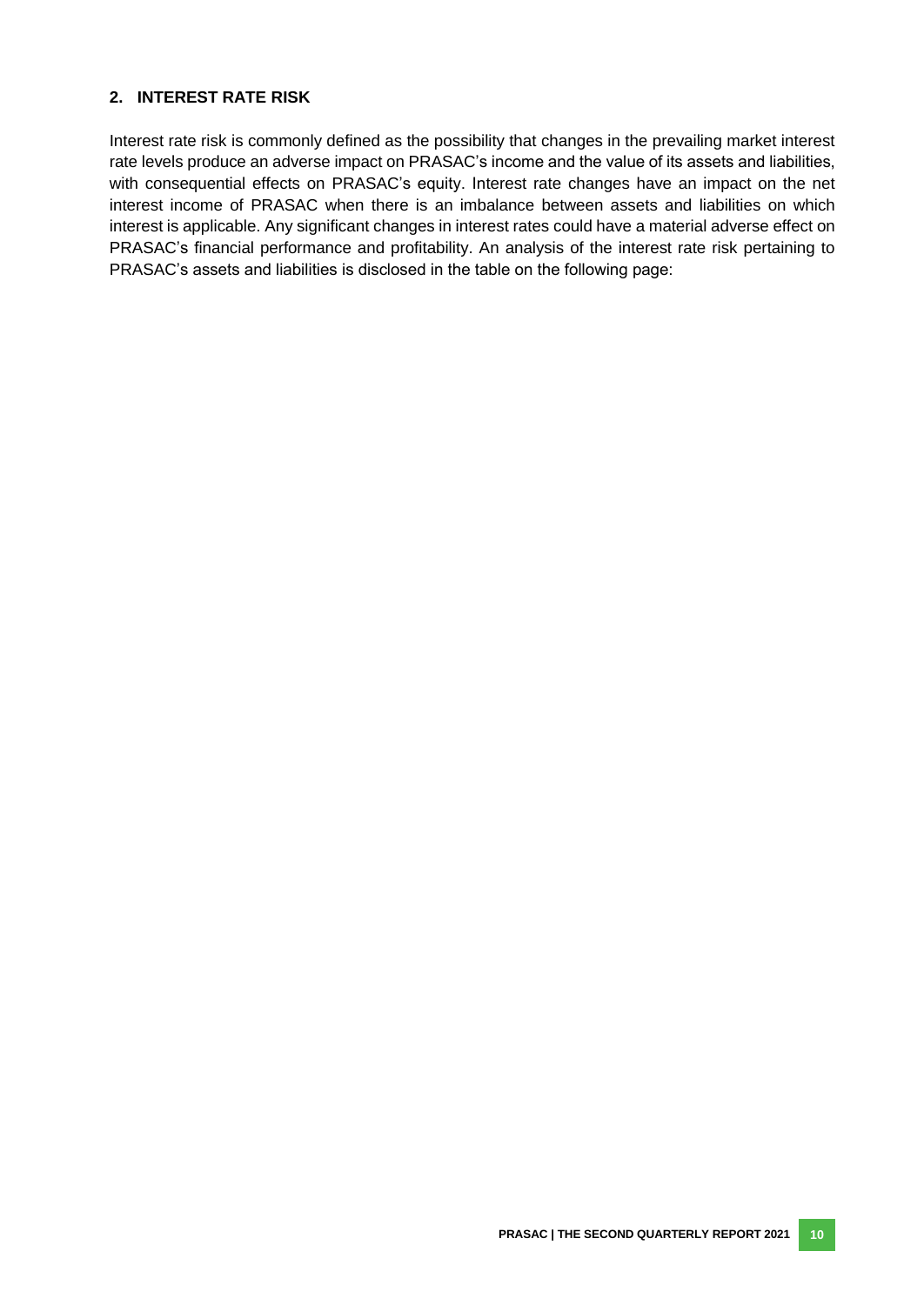#### **2. INTEREST RATE RISK**

Interest rate risk is commonly defined as the possibility that changes in the prevailing market interest rate levels produce an adverse impact on PRASAC's income and the value of its assets and liabilities, with consequential effects on PRASAC's equity. Interest rate changes have an impact on the net interest income of PRASAC when there is an imbalance between assets and liabilities on which interest is applicable. Any significant changes in interest rates could have a material adverse effect on PRASAC's financial performance and profitability. An analysis of the interest rate risk pertaining to PRASAC's assets and liabilities is disclosed in the table on the following page: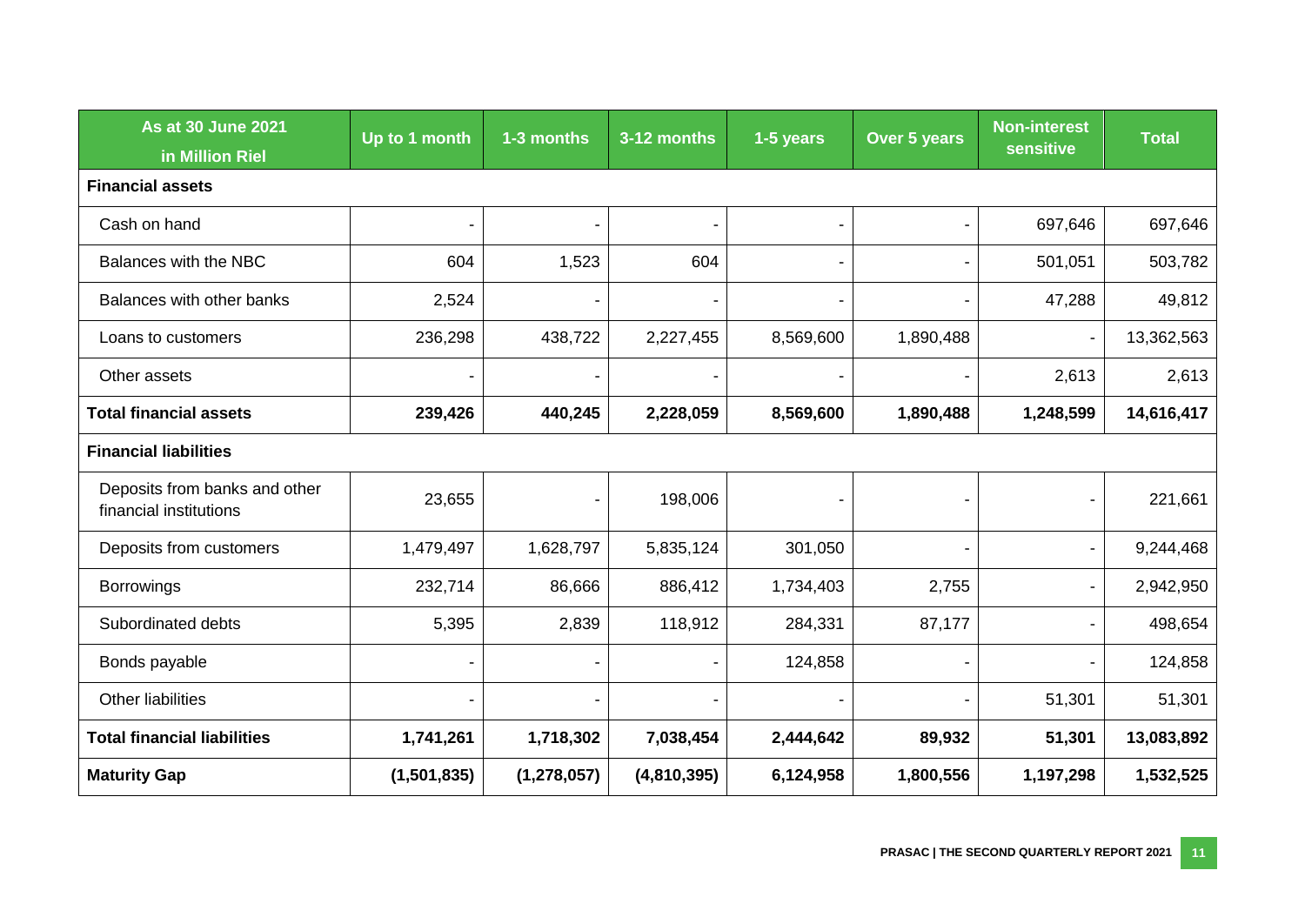| <b>As at 30 June 2021</b><br>in Million Riel            | Up to 1 month | 1-3 months               | 3-12 months | 1-5 years                | Over 5 years   | <b>Non-interest</b><br>sensitive | <b>Total</b> |
|---------------------------------------------------------|---------------|--------------------------|-------------|--------------------------|----------------|----------------------------------|--------------|
| <b>Financial assets</b>                                 |               |                          |             |                          |                |                                  |              |
| Cash on hand                                            |               | $\blacksquare$           |             | $\blacksquare$           | $\blacksquare$ | 697,646                          | 697,646      |
| Balances with the NBC                                   | 604           | 1,523                    | 604         | $\overline{\phantom{a}}$ | $\blacksquare$ | 501,051                          | 503,782      |
| Balances with other banks                               | 2,524         |                          |             | $\overline{\phantom{a}}$ |                | 47,288                           | 49,812       |
| Loans to customers                                      | 236,298       | 438,722                  | 2,227,455   | 8,569,600                | 1,890,488      | $\blacksquare$                   | 13,362,563   |
| Other assets                                            |               |                          |             |                          |                | 2,613                            | 2,613        |
| <b>Total financial assets</b>                           | 239,426       | 440,245                  | 2,228,059   | 8,569,600                | 1,890,488      | 1,248,599                        | 14,616,417   |
| <b>Financial liabilities</b>                            |               |                          |             |                          |                |                                  |              |
| Deposits from banks and other<br>financial institutions | 23,655        |                          | 198,006     |                          |                |                                  | 221,661      |
| Deposits from customers                                 | 1,479,497     | 1,628,797                | 5,835,124   | 301,050                  |                | $\overline{\phantom{a}}$         | 9,244,468    |
| <b>Borrowings</b>                                       | 232,714       | 86,666                   | 886,412     | 1,734,403                | 2,755          |                                  | 2,942,950    |
| Subordinated debts                                      | 5,395         | 2,839                    | 118,912     | 284,331                  | 87,177         |                                  | 498,654      |
| Bonds payable                                           |               |                          |             | 124,858                  | $\blacksquare$ |                                  | 124,858      |
| Other liabilities                                       |               | $\overline{\phantom{a}}$ |             | $\overline{\phantom{a}}$ | $\blacksquare$ | 51,301                           | 51,301       |
| <b>Total financial liabilities</b>                      | 1,741,261     | 1,718,302                | 7,038,454   | 2,444,642                | 89,932         | 51,301                           | 13,083,892   |
| <b>Maturity Gap</b>                                     | (1,501,835)   | (1, 278, 057)            | (4,810,395) | 6,124,958                | 1,800,556      | 1,197,298                        | 1,532,525    |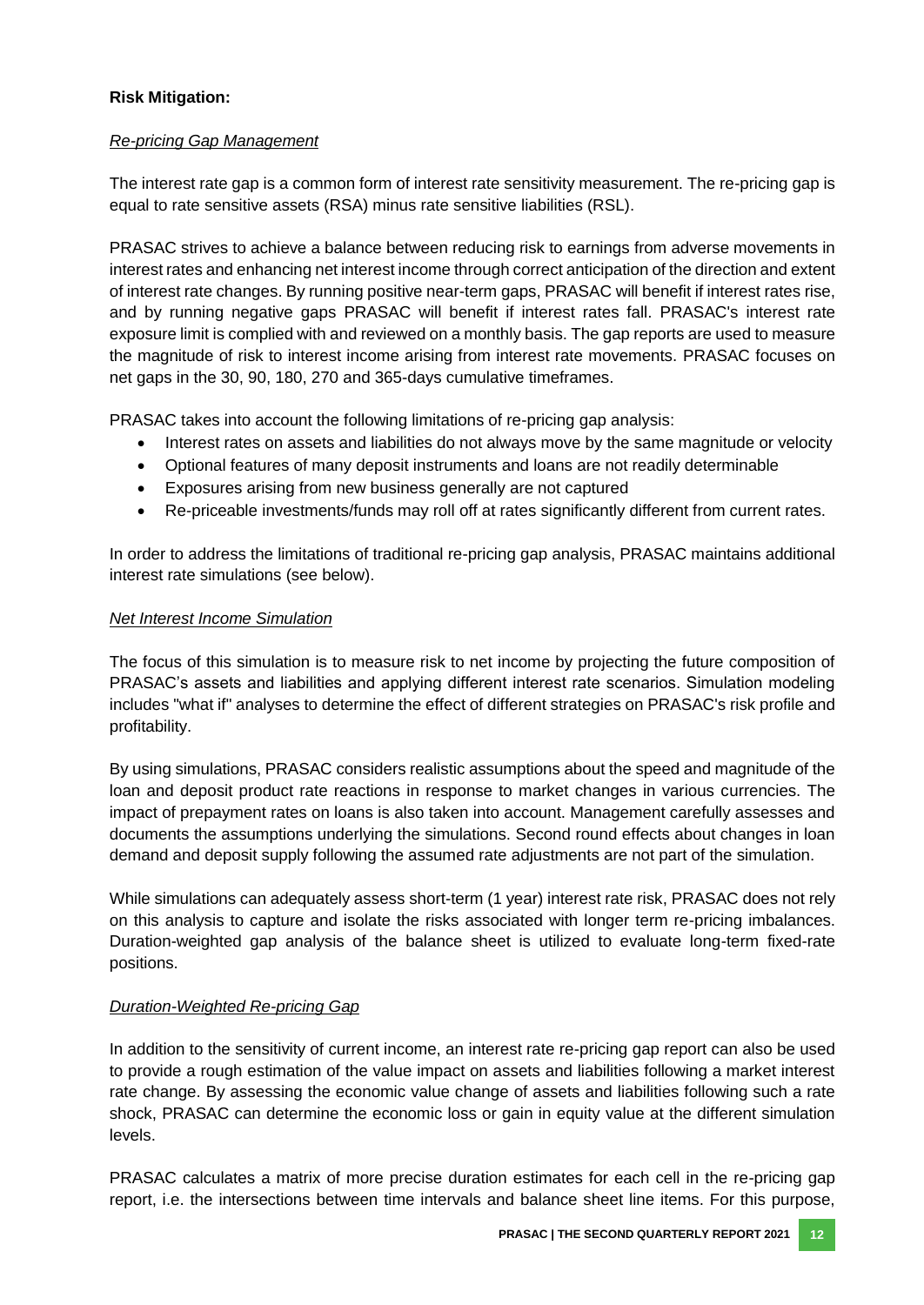#### **Risk Mitigation:**

#### *Re-pricing Gap Management*

The interest rate gap is a common form of interest rate sensitivity measurement. The re-pricing gap is equal to rate sensitive assets (RSA) minus rate sensitive liabilities (RSL).

PRASAC strives to achieve a balance between reducing risk to earnings from adverse movements in interest rates and enhancing net interest income through correct anticipation of the direction and extent of interest rate changes. By running positive near-term gaps, PRASAC will benefit if interest rates rise, and by running negative gaps PRASAC will benefit if interest rates fall. PRASAC's interest rate exposure limit is complied with and reviewed on a monthly basis. The gap reports are used to measure the magnitude of risk to interest income arising from interest rate movements. PRASAC focuses on net gaps in the 30, 90, 180, 270 and 365-days cumulative timeframes.

PRASAC takes into account the following limitations of re-pricing gap analysis:

- Interest rates on assets and liabilities do not always move by the same magnitude or velocity
- Optional features of many deposit instruments and loans are not readily determinable
- Exposures arising from new business generally are not captured
- Re-priceable investments/funds may roll off at rates significantly different from current rates.

In order to address the limitations of traditional re-pricing gap analysis, PRASAC maintains additional interest rate simulations (see below).

#### *Net Interest Income Simulation*

The focus of this simulation is to measure risk to net income by projecting the future composition of PRASAC's assets and liabilities and applying different interest rate scenarios. Simulation modeling includes "what if" analyses to determine the effect of different strategies on PRASAC's risk profile and profitability.

By using simulations, PRASAC considers realistic assumptions about the speed and magnitude of the loan and deposit product rate reactions in response to market changes in various currencies. The impact of prepayment rates on loans is also taken into account. Management carefully assesses and documents the assumptions underlying the simulations. Second round effects about changes in loan demand and deposit supply following the assumed rate adjustments are not part of the simulation.

While simulations can adequately assess short-term (1 year) interest rate risk, PRASAC does not rely on this analysis to capture and isolate the risks associated with longer term re-pricing imbalances. Duration-weighted gap analysis of the balance sheet is utilized to evaluate long-term fixed-rate positions.

#### *Duration-Weighted Re-pricing Gap*

In addition to the sensitivity of current income, an interest rate re-pricing gap report can also be used to provide a rough estimation of the value impact on assets and liabilities following a market interest rate change. By assessing the economic value change of assets and liabilities following such a rate shock, PRASAC can determine the economic loss or gain in equity value at the different simulation levels.

PRASAC calculates a matrix of more precise duration estimates for each cell in the re-pricing gap report, i.e. the intersections between time intervals and balance sheet line items. For this purpose,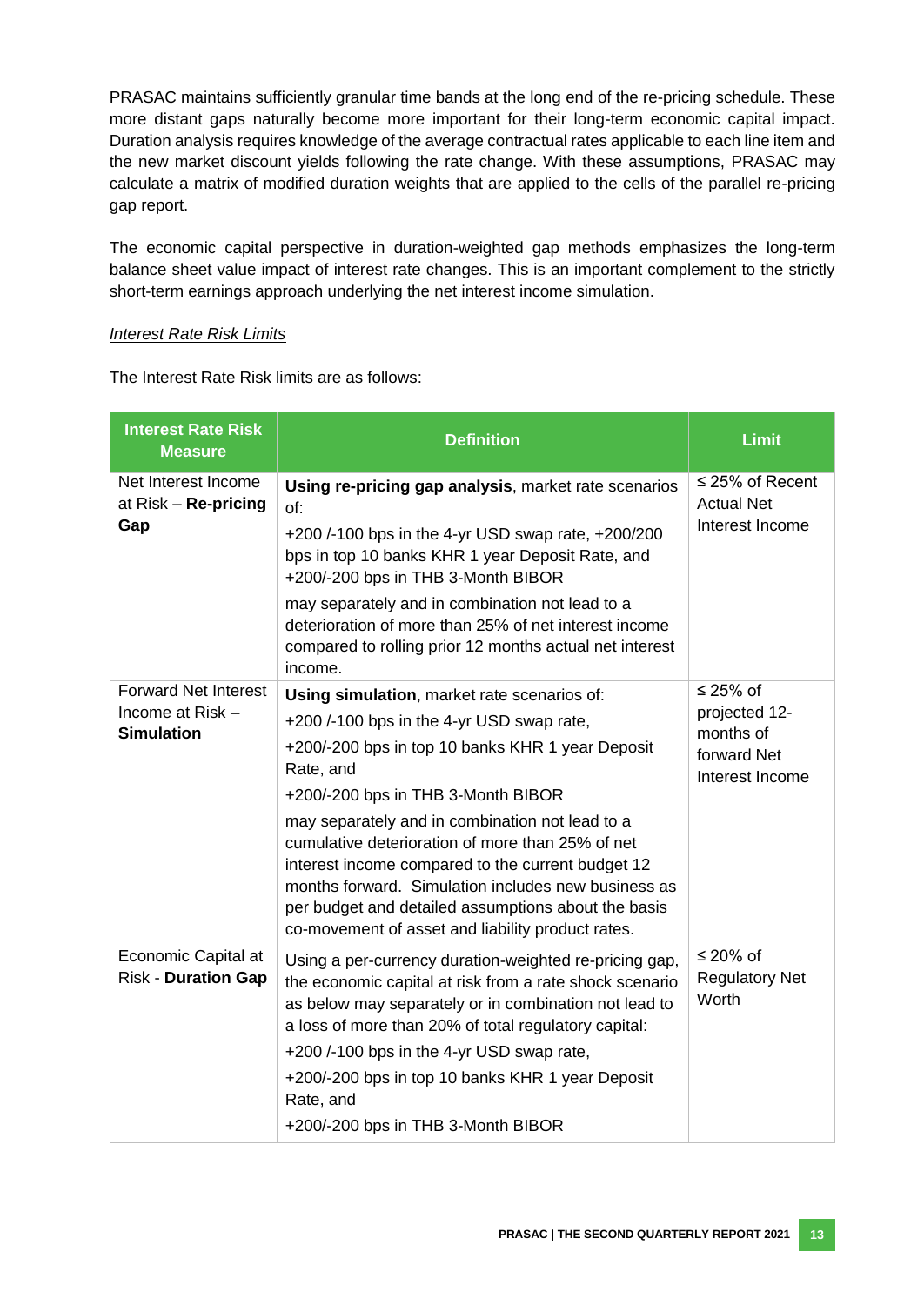PRASAC maintains sufficiently granular time bands at the long end of the re-pricing schedule. These more distant gaps naturally become more important for their long-term economic capital impact. Duration analysis requires knowledge of the average contractual rates applicable to each line item and the new market discount yields following the rate change. With these assumptions, PRASAC may calculate a matrix of modified duration weights that are applied to the cells of the parallel re-pricing gap report.

The economic capital perspective in duration-weighted gap methods emphasizes the long-term balance sheet value impact of interest rate changes. This is an important complement to the strictly short-term earnings approach underlying the net interest income simulation.

#### *Interest Rate Risk Limits*

The Interest Rate Risk limits are as follows:

| <b>Interest Rate Risk</b><br><b>Measure</b>                          | <b>Definition</b>                                                                                                                                                                                                                                                                                                                                                                                                                                                                                                              | <b>Limit</b>                                                             |
|----------------------------------------------------------------------|--------------------------------------------------------------------------------------------------------------------------------------------------------------------------------------------------------------------------------------------------------------------------------------------------------------------------------------------------------------------------------------------------------------------------------------------------------------------------------------------------------------------------------|--------------------------------------------------------------------------|
| Net Interest Income<br>at Risk - Re-pricing<br>Gap                   | Using re-pricing gap analysis, market rate scenarios<br>of:<br>+200/-100 bps in the 4-yr USD swap rate, +200/200<br>bps in top 10 banks KHR 1 year Deposit Rate, and<br>+200/-200 bps in THB 3-Month BIBOR<br>may separately and in combination not lead to a<br>deterioration of more than 25% of net interest income<br>compared to rolling prior 12 months actual net interest<br>income.                                                                                                                                   | $\leq$ 25% of Recent<br><b>Actual Net</b><br>Interest Income             |
| <b>Forward Net Interest</b><br>Income at Risk -<br><b>Simulation</b> | Using simulation, market rate scenarios of:<br>+200 /-100 bps in the 4-yr USD swap rate,<br>+200/-200 bps in top 10 banks KHR 1 year Deposit<br>Rate, and<br>+200/-200 bps in THB 3-Month BIBOR<br>may separately and in combination not lead to a<br>cumulative deterioration of more than 25% of net<br>interest income compared to the current budget 12<br>months forward. Simulation includes new business as<br>per budget and detailed assumptions about the basis<br>co-movement of asset and liability product rates. | ≤ 25% of<br>projected 12-<br>months of<br>forward Net<br>Interest Income |
| Economic Capital at<br><b>Risk - Duration Gap</b>                    | Using a per-currency duration-weighted re-pricing gap,<br>the economic capital at risk from a rate shock scenario<br>as below may separately or in combination not lead to<br>a loss of more than 20% of total regulatory capital:<br>+200 /-100 bps in the 4-yr USD swap rate,<br>+200/-200 bps in top 10 banks KHR 1 year Deposit<br>Rate, and<br>+200/-200 bps in THB 3-Month BIBOR                                                                                                                                         | ≤ 20% of<br><b>Regulatory Net</b><br>Worth                               |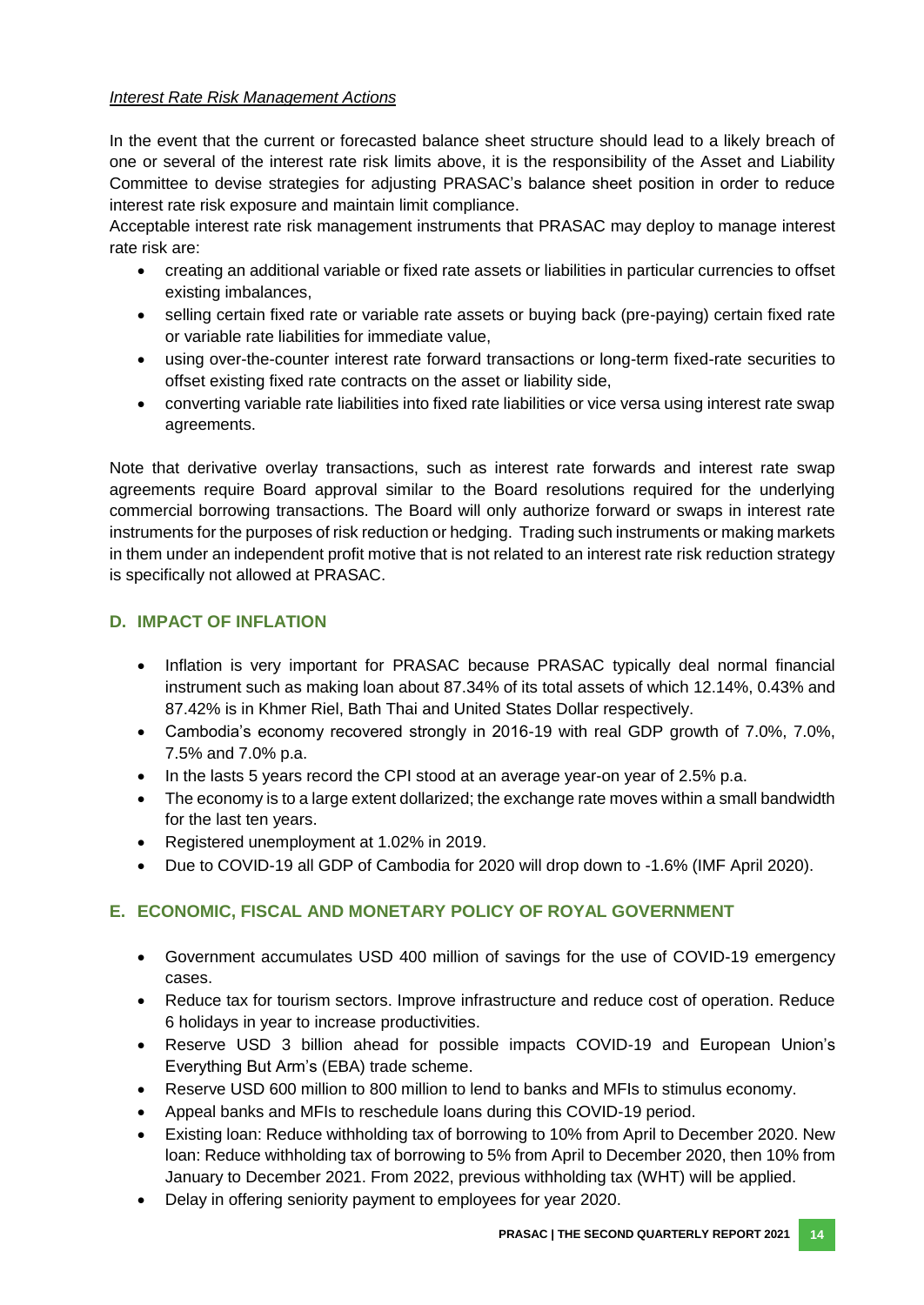#### *Interest Rate Risk Management Actions*

In the event that the current or forecasted balance sheet structure should lead to a likely breach of one or several of the interest rate risk limits above, it is the responsibility of the Asset and Liability Committee to devise strategies for adjusting PRASAC's balance sheet position in order to reduce interest rate risk exposure and maintain limit compliance.

Acceptable interest rate risk management instruments that PRASAC may deploy to manage interest rate risk are:

- creating an additional variable or fixed rate assets or liabilities in particular currencies to offset existing imbalances,
- selling certain fixed rate or variable rate assets or buying back (pre-paying) certain fixed rate or variable rate liabilities for immediate value,
- using over-the-counter interest rate forward transactions or long-term fixed-rate securities to offset existing fixed rate contracts on the asset or liability side,
- converting variable rate liabilities into fixed rate liabilities or vice versa using interest rate swap agreements.

Note that derivative overlay transactions, such as interest rate forwards and interest rate swap agreements require Board approval similar to the Board resolutions required for the underlying commercial borrowing transactions. The Board will only authorize forward or swaps in interest rate instruments for the purposes of risk reduction or hedging. Trading such instruments or making markets in them under an independent profit motive that is not related to an interest rate risk reduction strategy is specifically not allowed at PRASAC.

# <span id="page-20-0"></span>**D. IMPACT OF INFLATION**

- Inflation is very important for PRASAC because PRASAC typically deal normal financial instrument such as making loan about 87.34% of its total assets of which 12.14%, 0.43% and 87.42% is in Khmer Riel, Bath Thai and United States Dollar respectively.
- Cambodia's economy recovered strongly in 2016-19 with real GDP growth of 7.0%, 7.0%, 7.5% and 7.0% p.a.
- In the lasts 5 years record the CPI stood at an average year-on year of 2.5% p.a.
- The economy is to a large extent dollarized; the exchange rate moves within a small bandwidth for the last ten years.
- Registered unemployment at 1.02% in 2019.
- Due to COVID-19 all GDP of Cambodia for 2020 will drop down to -1.6% (IMF April 2020).

# <span id="page-20-1"></span>**E. ECONOMIC, FISCAL AND MONETARY POLICY OF ROYAL GOVERNMENT**

- Government accumulates USD 400 million of savings for the use of COVID-19 emergency cases.
- Reduce tax for tourism sectors. Improve infrastructure and reduce cost of operation. Reduce 6 holidays in year to increase productivities.
- Reserve USD 3 billion ahead for possible impacts COVID-19 and European Union's Everything But Arm's (EBA) trade scheme.
- Reserve USD 600 million to 800 million to lend to banks and MFIs to stimulus economy.
- Appeal banks and MFIs to reschedule loans during this COVID-19 period.
- Existing loan: Reduce withholding tax of borrowing to 10% from April to December 2020. New loan: Reduce withholding tax of borrowing to 5% from April to December 2020, then 10% from January to December 2021. From 2022, previous withholding tax (WHT) will be applied.
- Delay in offering seniority payment to employees for year 2020.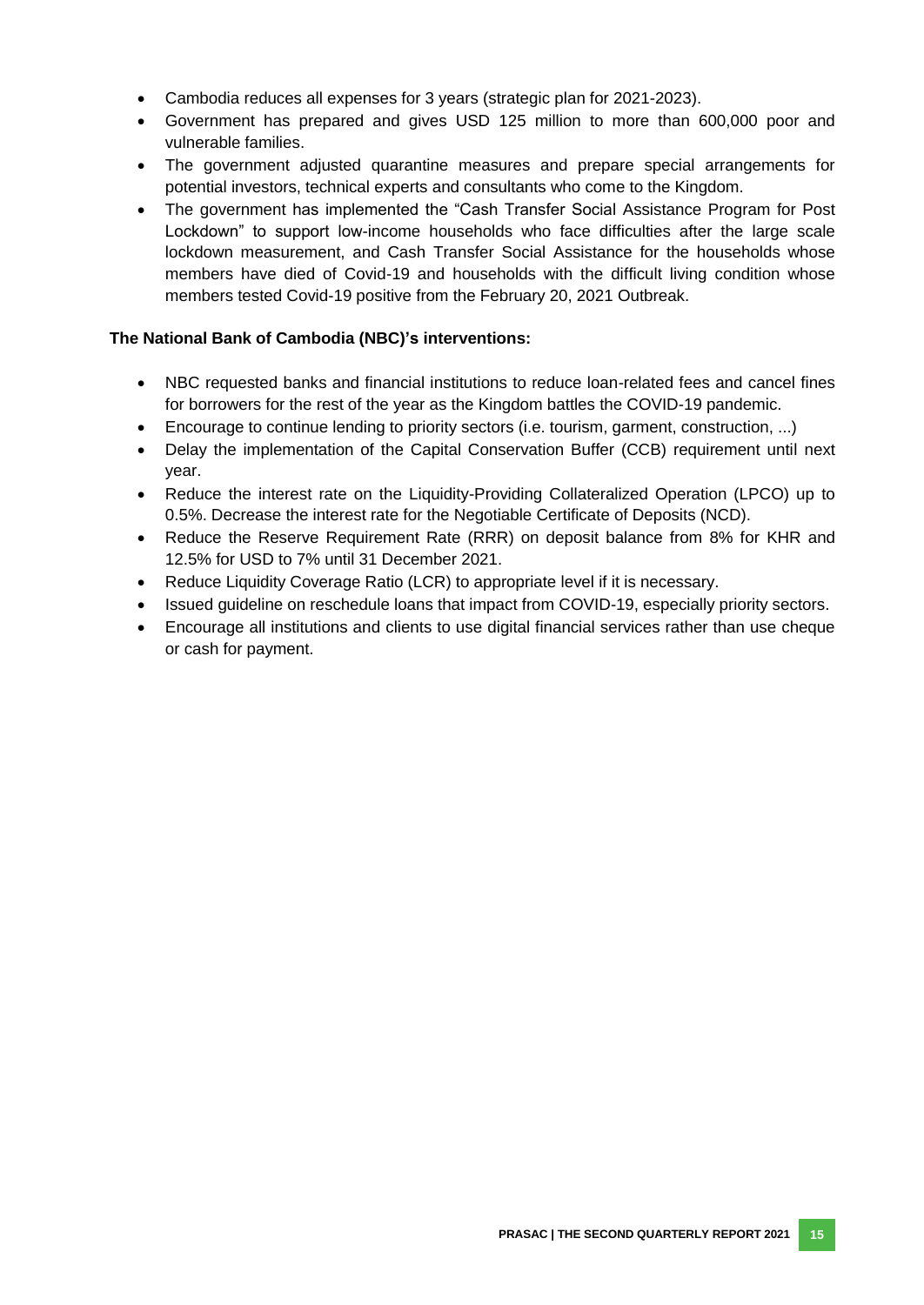- Cambodia reduces all expenses for 3 years (strategic plan for 2021-2023).
- Government has prepared and gives USD 125 million to more than 600,000 poor and vulnerable families.
- The government adjusted quarantine measures and prepare special arrangements for potential investors, technical experts and consultants who come to the Kingdom.
- The government has implemented the "Cash Transfer Social Assistance Program for Post Lockdown" to support low-income households who face difficulties after the large scale lockdown measurement, and Cash Transfer Social Assistance for the households whose members have died of Covid-19 and households with the difficult living condition whose members tested Covid-19 positive from the February 20, 2021 Outbreak.

#### **The National Bank of Cambodia (NBC)'s interventions:**

- NBC requested banks and financial institutions to reduce loan-related fees and cancel fines for borrowers for the rest of the year as the Kingdom battles the COVID-19 pandemic.
- Encourage to continue lending to priority sectors (i.e. tourism, garment, construction, ...)
- Delay the implementation of the Capital Conservation Buffer (CCB) requirement until next year.
- Reduce the interest rate on the Liquidity-Providing Collateralized Operation (LPCO) up to 0.5%. Decrease the interest rate for the Negotiable Certificate of Deposits (NCD).
- Reduce the Reserve Requirement Rate (RRR) on deposit balance from 8% for KHR and 12.5% for USD to 7% until 31 December 2021.
- Reduce Liquidity Coverage Ratio (LCR) to appropriate level if it is necessary.
- Issued quideline on reschedule loans that impact from COVID-19, especially priority sectors.
- Encourage all institutions and clients to use digital financial services rather than use cheque or cash for payment.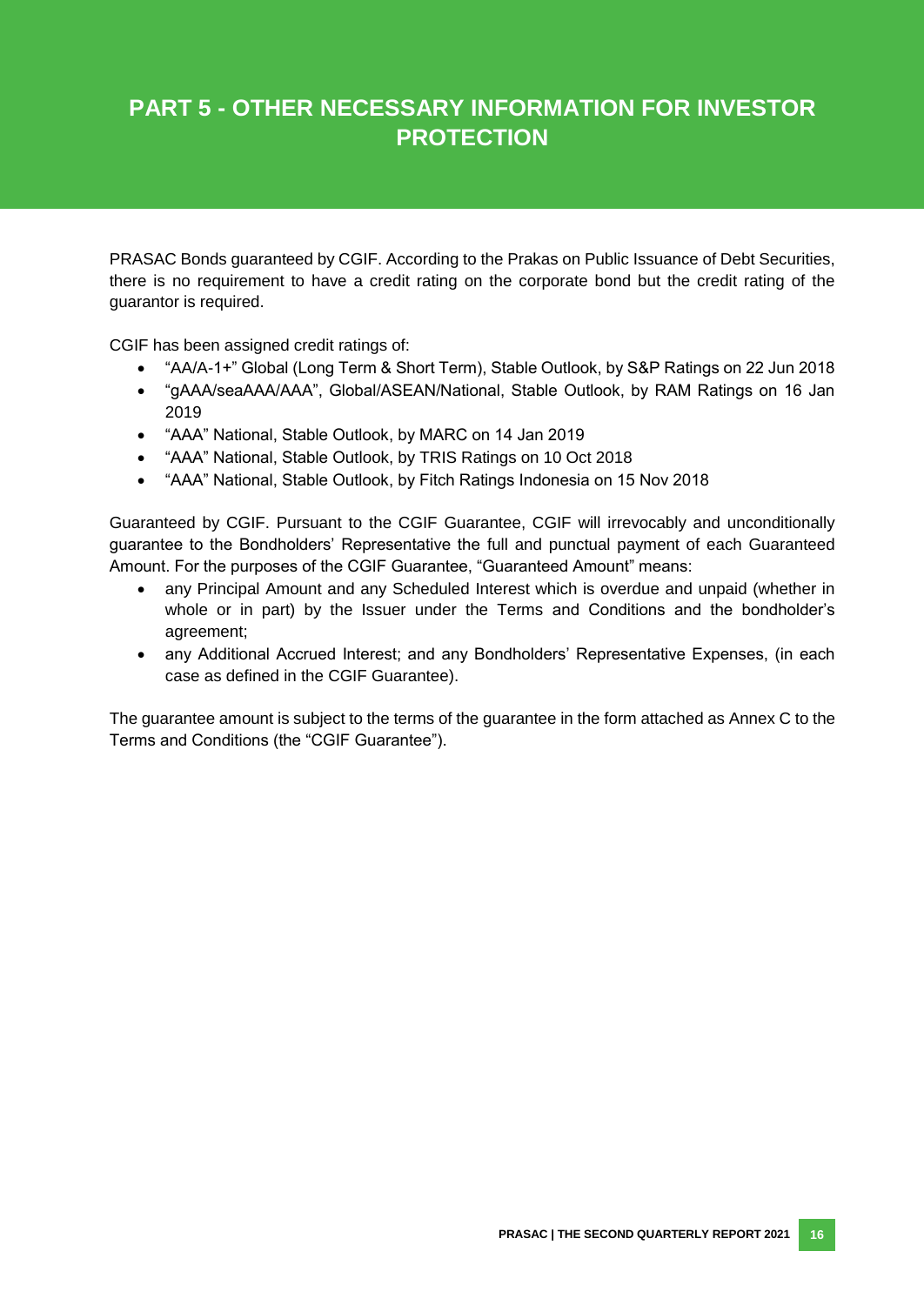# **PART 5 - OTHER NECESSARY INFORMATION FOR INVESTOR PROTECTION**

PRASAC Bonds guaranteed by CGIF. According to the Prakas on Public Issuance of Debt Securities, there is no requirement to have a credit rating on the corporate bond but the credit rating of the guarantor is required.

CGIF has been assigned credit ratings of:

- "AA/A-1+" Global (Long Term & Short Term), Stable Outlook, by S&P Ratings on 22 Jun 2018
- "gAAA/seaAAA/AAA", Global/ASEAN/National, Stable Outlook, by RAM Ratings on 16 Jan 2019
- "AAA" National, Stable Outlook, by MARC on 14 Jan 2019
- "AAA" National, Stable Outlook, by TRIS Ratings on 10 Oct 2018
- "AAA" National, Stable Outlook, by Fitch Ratings Indonesia on 15 Nov 2018

Guaranteed by CGIF. Pursuant to the CGIF Guarantee, CGIF will irrevocably and unconditionally guarantee to the Bondholders' Representative the full and punctual payment of each Guaranteed Amount. For the purposes of the CGIF Guarantee, "Guaranteed Amount" means:

- any Principal Amount and any Scheduled Interest which is overdue and unpaid (whether in whole or in part) by the Issuer under the Terms and Conditions and the bondholder's agreement;
- any Additional Accrued Interest; and any Bondholders' Representative Expenses, (in each case as defined in the CGIF Guarantee).

The guarantee amount is subject to the terms of the guarantee in the form attached as Annex C to the Terms and Conditions (the "CGIF Guarantee").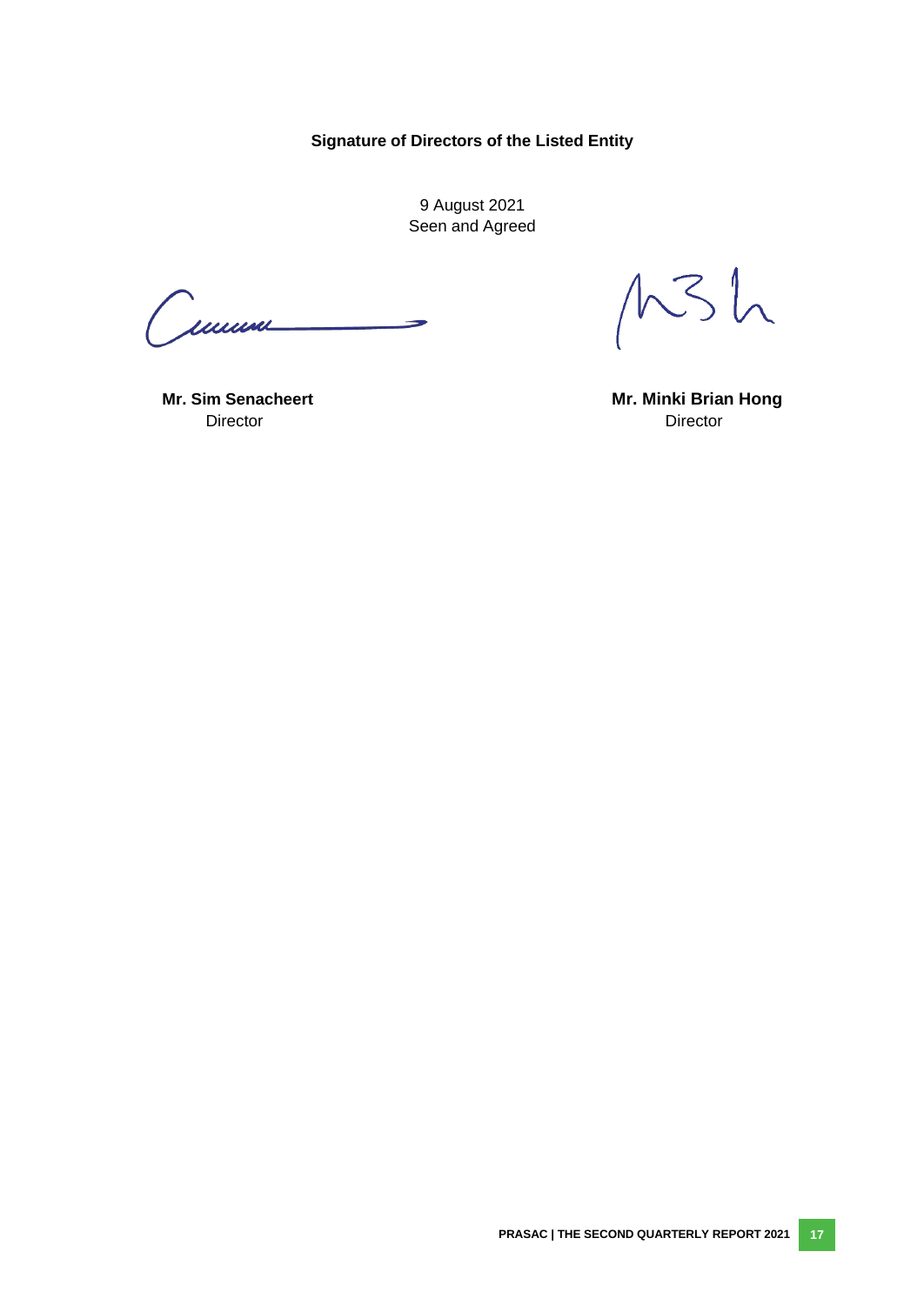**Signature of Directors of the Listed Entity**

9 August 2021 Seen and Agreed

<span id="page-23-0"></span>Cumm

 $MSh$ 

Director **Director** Director

**Mr. Sim Senacheert Mr. Minki Brian Hong**